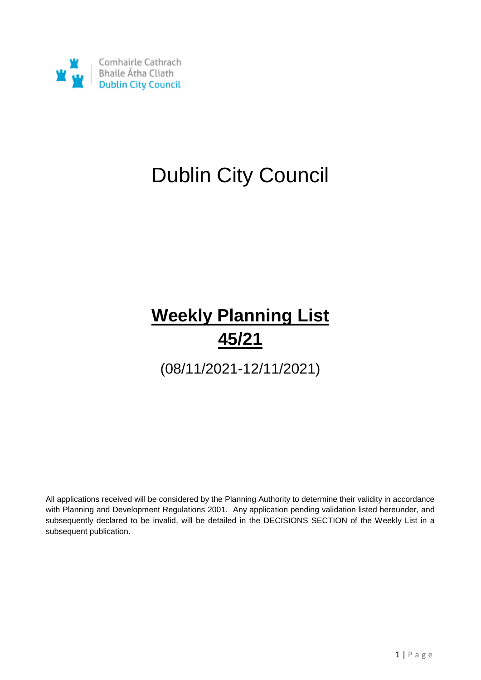

# Dublin City Council

# **Weekly Planning List 45/21**

(08/11/2021-12/11/2021)

All applications received will be considered by the Planning Authority to determine their validity in accordance with Planning and Development Regulations 2001. Any application pending validation listed hereunder, and subsequently declared to be invalid, will be detailed in the DECISIONS SECTION of the Weekly List in a subsequent publication.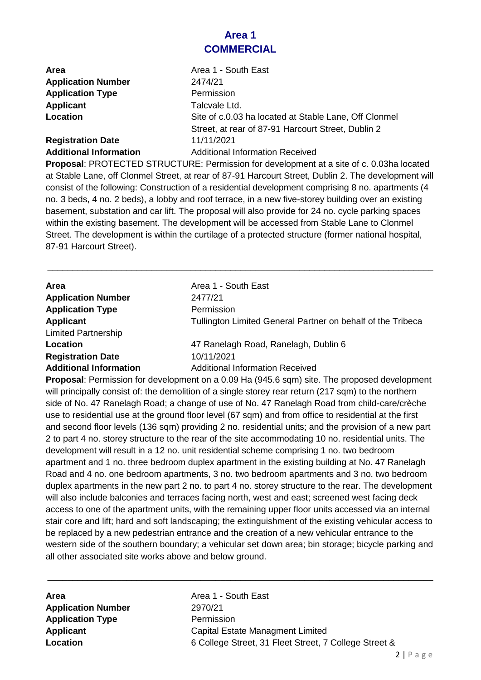## **Area 1 COMMERCIAL**

| <b>Area</b>                   | Area 1 - South East                                   |
|-------------------------------|-------------------------------------------------------|
| <b>Application Number</b>     | 2474/21                                               |
| <b>Application Type</b>       | Permission                                            |
| Applicant                     | Talcvale Ltd.                                         |
| Location                      | Site of c.0.03 ha located at Stable Lane, Off Clonmel |
|                               | Street, at rear of 87-91 Harcourt Street, Dublin 2    |
| <b>Registration Date</b>      | 11/11/2021                                            |
| <b>Additional Information</b> | <b>Additional Information Received</b>                |

**Proposal**: PROTECTED STRUCTURE: Permission for development at a site of c. 0.03ha located at Stable Lane, off Clonmel Street, at rear of 87-91 Harcourt Street, Dublin 2. The development will consist of the following: Construction of a residential development comprising 8 no. apartments (4 no. 3 beds, 4 no. 2 beds), a lobby and roof terrace, in a new five-storey building over an existing basement, substation and car lift. The proposal will also provide for 24 no. cycle parking spaces within the existing basement. The development will be accessed from Stable Lane to Clonmel Street. The development is within the curtilage of a protected structure (former national hospital, 87-91 Harcourt Street).

\_\_\_\_\_\_\_\_\_\_\_\_\_\_\_\_\_\_\_\_\_\_\_\_\_\_\_\_\_\_\_\_\_\_\_\_\_\_\_\_\_\_\_\_\_\_\_\_\_\_\_\_\_\_\_\_\_\_\_\_\_\_\_\_\_\_\_\_\_\_\_\_\_\_\_\_\_\_

| Area                                           | Area 1 - South East                                         |
|------------------------------------------------|-------------------------------------------------------------|
| <b>Application Number</b>                      | 2477/21                                                     |
| <b>Application Type</b>                        | Permission                                                  |
| <b>Applicant</b><br><b>Limited Partnership</b> | Tullington Limited General Partner on behalf of the Tribeca |
| Location                                       | 47 Ranelagh Road, Ranelagh, Dublin 6                        |
| <b>Registration Date</b>                       | 10/11/2021                                                  |
| <b>Additional Information</b>                  | <b>Additional Information Received</b>                      |

**Proposal**: Permission for development on a 0.09 Ha (945.6 sqm) site. The proposed development will principally consist of: the demolition of a single storey rear return (217 sqm) to the northern side of No. 47 Ranelagh Road; a change of use of No. 47 Ranelagh Road from child-care/crèche use to residential use at the ground floor level (67 sqm) and from office to residential at the first and second floor levels (136 sqm) providing 2 no. residential units; and the provision of a new part 2 to part 4 no. storey structure to the rear of the site accommodating 10 no. residential units. The development will result in a 12 no. unit residential scheme comprising 1 no. two bedroom apartment and 1 no. three bedroom duplex apartment in the existing building at No. 47 Ranelagh Road and 4 no. one bedroom apartments, 3 no. two bedroom apartments and 3 no. two bedroom duplex apartments in the new part 2 no. to part 4 no. storey structure to the rear. The development will also include balconies and terraces facing north, west and east; screened west facing deck access to one of the apartment units, with the remaining upper floor units accessed via an internal stair core and lift; hard and soft landscaping; the extinguishment of the existing vehicular access to be replaced by a new pedestrian entrance and the creation of a new vehicular entrance to the western side of the southern boundary; a vehicular set down area; bin storage; bicycle parking and all other associated site works above and below ground.

| Area                      |  |
|---------------------------|--|
| <b>Application Number</b> |  |
| <b>Application Type</b>   |  |
| <b>Applicant</b>          |  |
| <b>Location</b>           |  |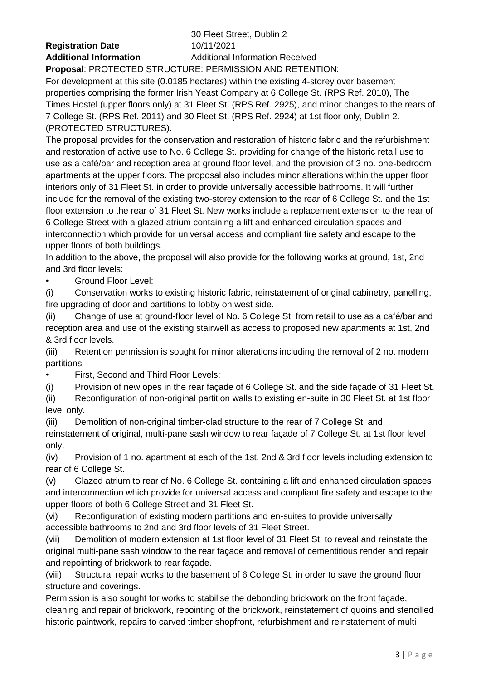**Registration Date** 10/11/2021

30 Fleet Street, Dublin 2 **Additional Information** Additional Information Received

**Proposal**: PROTECTED STRUCTURE: PERMISSION AND RETENTION: For development at this site (0.0185 hectares) within the existing 4-storey over basement properties comprising the former Irish Yeast Company at 6 College St. (RPS Ref. 2010), The Times Hostel (upper floors only) at 31 Fleet St. (RPS Ref. 2925), and minor changes to the rears of 7 College St. (RPS Ref. 2011) and 30 Fleet St. (RPS Ref. 2924) at 1st floor only, Dublin 2. (PROTECTED STRUCTURES).

The proposal provides for the conservation and restoration of historic fabric and the refurbishment and restoration of active use to No. 6 College St. providing for change of the historic retail use to use as a café/bar and reception area at ground floor level, and the provision of 3 no. one-bedroom apartments at the upper floors. The proposal also includes minor alterations within the upper floor interiors only of 31 Fleet St. in order to provide universally accessible bathrooms. It will further include for the removal of the existing two-storey extension to the rear of 6 College St. and the 1st floor extension to the rear of 31 Fleet St. New works include a replacement extension to the rear of 6 College Street with a glazed atrium containing a lift and enhanced circulation spaces and interconnection which provide for universal access and compliant fire safety and escape to the upper floors of both buildings.

In addition to the above, the proposal will also provide for the following works at ground, 1st, 2nd and 3rd floor levels:

• Ground Floor Level:

(i) Conservation works to existing historic fabric, reinstatement of original cabinetry, panelling, fire upgrading of door and partitions to lobby on west side.

(ii) Change of use at ground-floor level of No. 6 College St. from retail to use as a café/bar and reception area and use of the existing stairwell as access to proposed new apartments at 1st, 2nd & 3rd floor levels.

(iii) Retention permission is sought for minor alterations including the removal of 2 no. modern partitions.

• First, Second and Third Floor Levels:

(i) Provision of new opes in the rear façade of 6 College St. and the side façade of 31 Fleet St.

(ii) Reconfiguration of non-original partition walls to existing en-suite in 30 Fleet St. at 1st floor level only.

(iii) Demolition of non-original timber-clad structure to the rear of 7 College St. and reinstatement of original, multi-pane sash window to rear façade of 7 College St. at 1st floor level only.

(iv) Provision of 1 no. apartment at each of the 1st, 2nd & 3rd floor levels including extension to rear of 6 College St.

(v) Glazed atrium to rear of No. 6 College St. containing a lift and enhanced circulation spaces and interconnection which provide for universal access and compliant fire safety and escape to the upper floors of both 6 College Street and 31 Fleet St.

(vi) Reconfiguration of existing modern partitions and en-suites to provide universally accessible bathrooms to 2nd and 3rd floor levels of 31 Fleet Street.

(vii) Demolition of modern extension at 1st floor level of 31 Fleet St. to reveal and reinstate the original multi-pane sash window to the rear façade and removal of cementitious render and repair and repointing of brickwork to rear façade.

(viii) Structural repair works to the basement of 6 College St. in order to save the ground floor structure and coverings.

Permission is also sought for works to stabilise the debonding brickwork on the front façade, cleaning and repair of brickwork, repointing of the brickwork, reinstatement of quoins and stencilled historic paintwork, repairs to carved timber shopfront, refurbishment and reinstatement of multi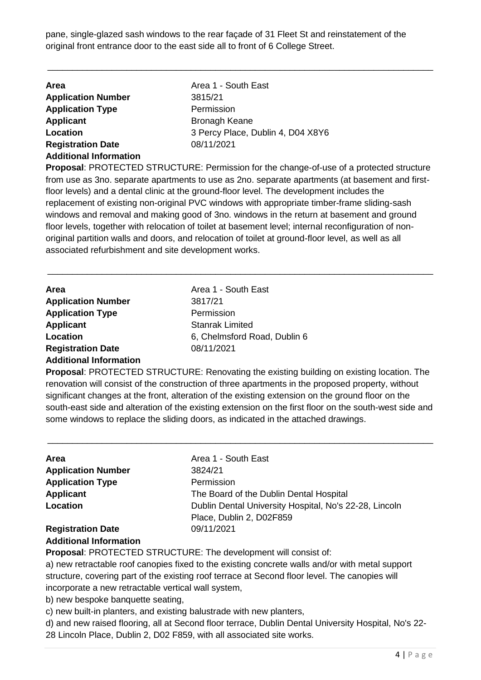pane, single-glazed sash windows to the rear façade of 31 Fleet St and reinstatement of the original front entrance door to the east side all to front of 6 College Street.

\_\_\_\_\_\_\_\_\_\_\_\_\_\_\_\_\_\_\_\_\_\_\_\_\_\_\_\_\_\_\_\_\_\_\_\_\_\_\_\_\_\_\_\_\_\_\_\_\_\_\_\_\_\_\_\_\_\_\_\_\_\_\_\_\_\_\_\_\_\_\_\_\_\_\_\_\_\_

| Area 1 - South East<br><b>Area</b><br><b>Application Number</b><br>3815/21<br><b>Application Type</b><br>Permission<br><b>Applicant</b><br><b>Bronagh Keane</b><br>Location<br>08/11/2021<br><b>Registration Date</b><br><b>Additional Information</b> |                                   |
|--------------------------------------------------------------------------------------------------------------------------------------------------------------------------------------------------------------------------------------------------------|-----------------------------------|
|                                                                                                                                                                                                                                                        |                                   |
|                                                                                                                                                                                                                                                        |                                   |
|                                                                                                                                                                                                                                                        |                                   |
|                                                                                                                                                                                                                                                        |                                   |
|                                                                                                                                                                                                                                                        | 3 Percy Place, Dublin 4, D04 X8Y6 |
|                                                                                                                                                                                                                                                        |                                   |
|                                                                                                                                                                                                                                                        |                                   |

**Proposal**: PROTECTED STRUCTURE: Permission for the change-of-use of a protected structure from use as 3no. separate apartments to use as 2no. separate apartments (at basement and firstfloor levels) and a dental clinic at the ground-floor level. The development includes the replacement of existing non-original PVC windows with appropriate timber-frame sliding-sash windows and removal and making good of 3no. windows in the return at basement and ground floor levels, together with relocation of toilet at basement level; internal reconfiguration of nonoriginal partition walls and doors, and relocation of toilet at ground-floor level, as well as all associated refurbishment and site development works.

\_\_\_\_\_\_\_\_\_\_\_\_\_\_\_\_\_\_\_\_\_\_\_\_\_\_\_\_\_\_\_\_\_\_\_\_\_\_\_\_\_\_\_\_\_\_\_\_\_\_\_\_\_\_\_\_\_\_\_\_\_\_\_\_\_\_\_\_\_\_\_\_\_\_\_\_\_\_

| Area                          | Area 1 - South East          |
|-------------------------------|------------------------------|
| <b>Application Number</b>     | 3817/21                      |
| <b>Application Type</b>       | Permission                   |
| <b>Applicant</b>              | <b>Stanrak Limited</b>       |
| Location                      | 6, Chelmsford Road, Dublin 6 |
| <b>Registration Date</b>      | 08/11/2021                   |
| <b>Additional Information</b> |                              |

**Proposal**: PROTECTED STRUCTURE: Renovating the existing building on existing location. The renovation will consist of the construction of three apartments in the proposed property, without significant changes at the front, alteration of the existing extension on the ground floor on the south-east side and alteration of the existing extension on the first floor on the south-west side and some windows to replace the sliding doors, as indicated in the attached drawings.

\_\_\_\_\_\_\_\_\_\_\_\_\_\_\_\_\_\_\_\_\_\_\_\_\_\_\_\_\_\_\_\_\_\_\_\_\_\_\_\_\_\_\_\_\_\_\_\_\_\_\_\_\_\_\_\_\_\_\_\_\_\_\_\_\_\_\_\_\_\_\_\_\_\_\_\_\_\_

| Area                          | Area 1 - South East                                    |
|-------------------------------|--------------------------------------------------------|
| <b>Application Number</b>     | 3824/21                                                |
| <b>Application Type</b>       | Permission                                             |
| <b>Applicant</b>              | The Board of the Dublin Dental Hospital                |
| Location                      | Dublin Dental University Hospital, No's 22-28, Lincoln |
|                               | Place, Dublin 2, D02F859                               |
| <b>Registration Date</b>      | 09/11/2021                                             |
| <b>Additional Information</b> |                                                        |

**Proposal**: PROTECTED STRUCTURE: The development will consist of:

a) new retractable roof canopies fixed to the existing concrete walls and/or with metal support structure, covering part of the existing roof terrace at Second floor level. The canopies will incorporate a new retractable vertical wall system,

b) new bespoke banquette seating,

c) new built-in planters, and existing balustrade with new planters,

d) and new raised flooring, all at Second floor terrace, Dublin Dental University Hospital, No's 22- 28 Lincoln Place, Dublin 2, D02 F859, with all associated site works.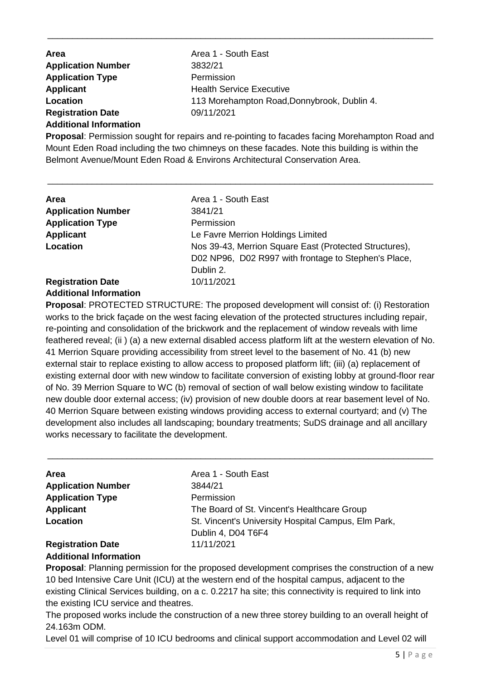| <b>Area</b>                   | Area 1 - South East                         |
|-------------------------------|---------------------------------------------|
| <b>Application Number</b>     | 3832/21                                     |
| <b>Application Type</b>       | Permission                                  |
| Applicant                     | <b>Health Service Executive</b>             |
| Location                      | 113 Morehampton Road, Donnybrook, Dublin 4. |
| <b>Registration Date</b>      | 09/11/2021                                  |
| <b>Additional Information</b> |                                             |

**Proposal**: Permission sought for repairs and re-pointing to facades facing Morehampton Road and Mount Eden Road including the two chimneys on these facades. Note this building is within the Belmont Avenue/Mount Eden Road & Environs Architectural Conservation Area.

\_\_\_\_\_\_\_\_\_\_\_\_\_\_\_\_\_\_\_\_\_\_\_\_\_\_\_\_\_\_\_\_\_\_\_\_\_\_\_\_\_\_\_\_\_\_\_\_\_\_\_\_\_\_\_\_\_\_\_\_\_\_\_\_\_\_\_\_\_\_\_\_\_\_\_\_\_\_

\_\_\_\_\_\_\_\_\_\_\_\_\_\_\_\_\_\_\_\_\_\_\_\_\_\_\_\_\_\_\_\_\_\_\_\_\_\_\_\_\_\_\_\_\_\_\_\_\_\_\_\_\_\_\_\_\_\_\_\_\_\_\_\_\_\_\_\_\_\_\_\_\_\_\_\_\_\_

| Area                      | Area 1 - South East                                                                                            |
|---------------------------|----------------------------------------------------------------------------------------------------------------|
| <b>Application Number</b> | 3841/21                                                                                                        |
| <b>Application Type</b>   | Permission                                                                                                     |
| <b>Applicant</b>          | Le Favre Merrion Holdings Limited                                                                              |
| Location                  | Nos 39-43, Merrion Square East (Protected Structures),<br>D02 NP96, D02 R997 with frontage to Stephen's Place, |
|                           | Dublin 2.                                                                                                      |
| <b>Registration Date</b>  | 10/11/2021                                                                                                     |
|                           |                                                                                                                |

## **Additional Information**

**Proposal**: PROTECTED STRUCTURE: The proposed development will consist of: (i) Restoration works to the brick façade on the west facing elevation of the protected structures including repair, re-pointing and consolidation of the brickwork and the replacement of window reveals with lime feathered reveal; (ii) (a) a new external disabled access platform lift at the western elevation of No. 41 Merrion Square providing accessibility from street level to the basement of No. 41 (b) new external stair to replace existing to allow access to proposed platform lift; (iii) (a) replacement of existing external door with new window to facilitate conversion of existing lobby at ground-floor rear of No. 39 Merrion Square to WC (b) removal of section of wall below existing window to facilitate new double door external access; (iv) provision of new double doors at rear basement level of No. 40 Merrion Square between existing windows providing access to external courtyard; and (v) The development also includes all landscaping; boundary treatments; SuDS drainage and all ancillary works necessary to facilitate the development.

| <b>Area</b>               | Area 1 - South East                                 |
|---------------------------|-----------------------------------------------------|
| <b>Application Number</b> | 3844/21                                             |
| <b>Application Type</b>   | Permission                                          |
| <b>Applicant</b>          | The Board of St. Vincent's Healthcare Group         |
| Location                  | St. Vincent's University Hospital Campus, Elm Park, |
|                           | Dublin 4, D04 T6F4                                  |
| <b>Registration Date</b>  | 11/11/2021                                          |
|                           |                                                     |

\_\_\_\_\_\_\_\_\_\_\_\_\_\_\_\_\_\_\_\_\_\_\_\_\_\_\_\_\_\_\_\_\_\_\_\_\_\_\_\_\_\_\_\_\_\_\_\_\_\_\_\_\_\_\_\_\_\_\_\_\_\_\_\_\_\_\_\_\_\_\_\_\_\_\_\_\_\_

# **Additional Information**

**Proposal**: Planning permission for the proposed development comprises the construction of a new 10 bed Intensive Care Unit (ICU) at the western end of the hospital campus, adjacent to the existing Clinical Services building, on a c. 0.2217 ha site; this connectivity is required to link into the existing ICU service and theatres.

The proposed works include the construction of a new three storey building to an overall height of 24.163m ODM.

Level 01 will comprise of 10 ICU bedrooms and clinical support accommodation and Level 02 will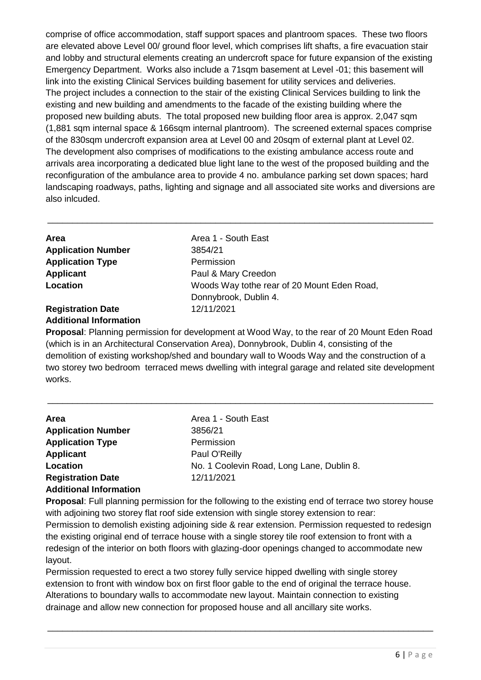comprise of office accommodation, staff support spaces and plantroom spaces. These two floors are elevated above Level 00/ ground floor level, which comprises lift shafts, a fire evacuation stair and lobby and structural elements creating an undercroft space for future expansion of the existing Emergency Department. Works also include a 71sqm basement at Level -01; this basement will link into the existing Clinical Services building basement for utility services and deliveries. The project includes a connection to the stair of the existing Clinical Services building to link the existing and new building and amendments to the facade of the existing building where the proposed new building abuts. The total proposed new building floor area is approx. 2,047 sqm (1,881 sqm internal space & 166sqm internal plantroom). The screened external spaces comprise of the 830sqm undercroft expansion area at Level 00 and 20sqm of external plant at Level 02. The development also comprises of modifications to the existing ambulance access route and arrivals area incorporating a dedicated blue light lane to the west of the proposed building and the reconfiguration of the ambulance area to provide 4 no. ambulance parking set down spaces; hard landscaping roadways, paths, lighting and signage and all associated site works and diversions are also inlcuded.

\_\_\_\_\_\_\_\_\_\_\_\_\_\_\_\_\_\_\_\_\_\_\_\_\_\_\_\_\_\_\_\_\_\_\_\_\_\_\_\_\_\_\_\_\_\_\_\_\_\_\_\_\_\_\_\_\_\_\_\_\_\_\_\_\_\_\_\_\_\_\_\_\_\_\_\_\_\_

| Area                      | Area 1 - South East                         |
|---------------------------|---------------------------------------------|
| <b>Application Number</b> | 3854/21                                     |
| <b>Application Type</b>   | Permission                                  |
| <b>Applicant</b>          | Paul & Mary Creedon                         |
| Location                  | Woods Way tothe rear of 20 Mount Eden Road, |
|                           | Donnybrook, Dublin 4.                       |
| <b>Registration Date</b>  | 12/11/2021                                  |

### **Additional Information**

**Proposal**: Planning permission for development at Wood Way, to the rear of 20 Mount Eden Road (which is in an Architectural Conservation Area), Donnybrook, Dublin 4, consisting of the demolition of existing workshop/shed and boundary wall to Woods Way and the construction of a two storey two bedroom terraced mews dwelling with integral garage and related site development works.

\_\_\_\_\_\_\_\_\_\_\_\_\_\_\_\_\_\_\_\_\_\_\_\_\_\_\_\_\_\_\_\_\_\_\_\_\_\_\_\_\_\_\_\_\_\_\_\_\_\_\_\_\_\_\_\_\_\_\_\_\_\_\_\_\_\_\_\_\_\_\_\_\_\_\_\_\_\_

| <b>Area</b>                   | Area 1 - South East                       |
|-------------------------------|-------------------------------------------|
| <b>Application Number</b>     | 3856/21                                   |
| <b>Application Type</b>       | Permission                                |
| <b>Applicant</b>              | Paul O'Reilly                             |
| Location                      | No. 1 Coolevin Road, Long Lane, Dublin 8. |
| <b>Registration Date</b>      | 12/11/2021                                |
| <b>Additional Information</b> |                                           |

**Proposal**: Full planning permission for the following to the existing end of terrace two storey house with adjoining two storey flat roof side extension with single storey extension to rear: Permission to demolish existing adjoining side & rear extension. Permission requested to redesign the existing original end of terrace house with a single storey tile roof extension to front with a redesign of the interior on both floors with glazing-door openings changed to accommodate new layout.

Permission requested to erect a two storey fully service hipped dwelling with single storey extension to front with window box on first floor gable to the end of original the terrace house. Alterations to boundary walls to accommodate new layout. Maintain connection to existing drainage and allow new connection for proposed house and all ancillary site works.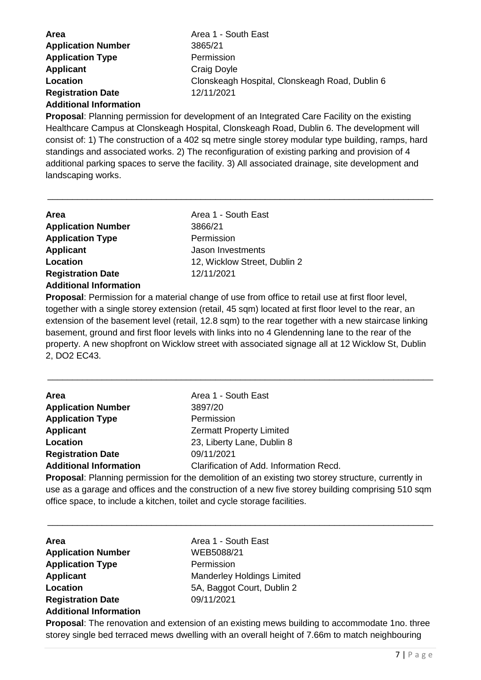| <b>Area</b>               | Area 1 - South East                            |
|---------------------------|------------------------------------------------|
| <b>Application Number</b> | 3865/21                                        |
| <b>Application Type</b>   | Permission                                     |
| <b>Applicant</b>          | Craig Doyle                                    |
| Location                  | Clonskeagh Hospital, Clonskeagh Road, Dublin 6 |
| <b>Registration Date</b>  | 12/11/2021                                     |

#### **Additional Information**

**Proposal**: Planning permission for development of an Integrated Care Facility on the existing Healthcare Campus at Clonskeagh Hospital, Clonskeagh Road, Dublin 6. The development will consist of: 1) The construction of a 402 sq metre single storey modular type building, ramps, hard standings and associated works. 2) The reconfiguration of existing parking and provision of 4 additional parking spaces to serve the facility. 3) All associated drainage, site development and landscaping works.

\_\_\_\_\_\_\_\_\_\_\_\_\_\_\_\_\_\_\_\_\_\_\_\_\_\_\_\_\_\_\_\_\_\_\_\_\_\_\_\_\_\_\_\_\_\_\_\_\_\_\_\_\_\_\_\_\_\_\_\_\_\_\_\_\_\_\_\_\_\_\_\_\_\_\_\_\_\_

| <b>Area</b>                   | Area 1 - South East          |
|-------------------------------|------------------------------|
| <b>Application Number</b>     | 3866/21                      |
| <b>Application Type</b>       | Permission                   |
| <b>Applicant</b>              | Jason Investments            |
| Location                      | 12, Wicklow Street, Dublin 2 |
| <b>Registration Date</b>      | 12/11/2021                   |
| <b>Additional Information</b> |                              |

**Proposal**: Permission for a material change of use from office to retail use at first floor level, together with a single storey extension (retail, 45 sqm) located at first floor level to the rear, an extension of the basement level (retail, 12.8 sqm) to the rear together with a new staircase linking basement, ground and first floor levels with links into no 4 Glendenning lane to the rear of the property. A new shopfront on Wicklow street with associated signage all at 12 Wicklow St, Dublin 2, DO2 EC43.

\_\_\_\_\_\_\_\_\_\_\_\_\_\_\_\_\_\_\_\_\_\_\_\_\_\_\_\_\_\_\_\_\_\_\_\_\_\_\_\_\_\_\_\_\_\_\_\_\_\_\_\_\_\_\_\_\_\_\_\_\_\_\_\_\_\_\_\_\_\_\_\_\_\_\_\_\_\_

| Area                          | Area 1 - South East                                                                           |
|-------------------------------|-----------------------------------------------------------------------------------------------|
| <b>Application Number</b>     | 3897/20                                                                                       |
| <b>Application Type</b>       | Permission                                                                                    |
| <b>Applicant</b>              | <b>Zermatt Property Limited</b>                                                               |
| Location                      | 23, Liberty Lane, Dublin 8                                                                    |
| <b>Registration Date</b>      | 09/11/2021                                                                                    |
| <b>Additional Information</b> | Clarification of Add. Information Recd.                                                       |
|                               | Drepeaal, Dlopping parmiasion for the departition of an oviating two starsy structure overage |

**Proposal**: Planning permission for the demolition of an existing two storey structure, currently in use as a garage and offices and the construction of a new five storey building comprising 510 sqm office space, to include a kitchen, toilet and cycle storage facilities.

\_\_\_\_\_\_\_\_\_\_\_\_\_\_\_\_\_\_\_\_\_\_\_\_\_\_\_\_\_\_\_\_\_\_\_\_\_\_\_\_\_\_\_\_\_\_\_\_\_\_\_\_\_\_\_\_\_\_\_\_\_\_\_\_\_\_\_\_\_\_\_\_\_\_\_\_\_\_

| Area                          |  |
|-------------------------------|--|
| <b>Application Number</b>     |  |
| <b>Application Type</b>       |  |
| <b>Applicant</b>              |  |
| Location                      |  |
| <b>Registration Date</b>      |  |
| <b>Additional Information</b> |  |
|                               |  |

**Area** Area 1 - South East **Application Number** WEB5088/21 **Permission Manderley Holdings Limited Location** 5A, Baggot Court, Dublin 2 **Registration Date** 09/11/2021

**Proposal**: The renovation and extension of an existing mews building to accommodate 1no. three storey single bed terraced mews dwelling with an overall height of 7.66m to match neighbouring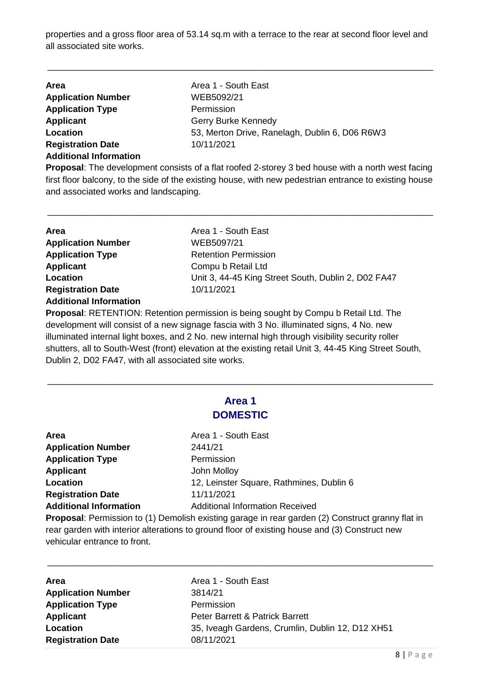properties and a gross floor area of 53.14 sq.m with a terrace to the rear at second floor level and all associated site works.

\_\_\_\_\_\_\_\_\_\_\_\_\_\_\_\_\_\_\_\_\_\_\_\_\_\_\_\_\_\_\_\_\_\_\_\_\_\_\_\_\_\_\_\_\_\_\_\_\_\_\_\_\_\_\_\_\_\_\_\_\_\_\_\_\_\_\_\_\_\_\_\_\_\_\_\_\_\_

| Area                          | Area 1 - South East                            |
|-------------------------------|------------------------------------------------|
| <b>Application Number</b>     | WEB5092/21                                     |
| <b>Application Type</b>       | Permission                                     |
| <b>Applicant</b>              | Gerry Burke Kennedy                            |
| Location                      | 53, Merton Drive, Ranelagh, Dublin 6, D06 R6W3 |
| <b>Registration Date</b>      | 10/11/2021                                     |
| <b>Additional Information</b> |                                                |

**Proposal**: The development consists of a flat roofed 2-storey 3 bed house with a north west facing first floor balcony, to the side of the existing house, with new pedestrian entrance to existing house and associated works and landscaping.

\_\_\_\_\_\_\_\_\_\_\_\_\_\_\_\_\_\_\_\_\_\_\_\_\_\_\_\_\_\_\_\_\_\_\_\_\_\_\_\_\_\_\_\_\_\_\_\_\_\_\_\_\_\_\_\_\_\_\_\_\_\_\_\_\_\_\_\_\_\_\_\_\_\_\_\_\_\_

| <b>Area</b>                   | Area 1 - South East                                 |
|-------------------------------|-----------------------------------------------------|
|                               |                                                     |
| <b>Application Number</b>     | WEB5097/21                                          |
| <b>Application Type</b>       | <b>Retention Permission</b>                         |
| <b>Applicant</b>              | Compu b Retail Ltd                                  |
| Location                      | Unit 3, 44-45 King Street South, Dublin 2, D02 FA47 |
| <b>Registration Date</b>      | 10/11/2021                                          |
| <b>Additional Information</b> |                                                     |

**Proposal**: RETENTION: Retention permission is being sought by Compu b Retail Ltd. The development will consist of a new signage fascia with 3 No. illuminated signs, 4 No. new illuminated internal light boxes, and 2 No. new internal high through visibility security roller shutters, all to South-West (front) elevation at the existing retail Unit 3, 44-45 King Street South, Dublin 2, D02 FA47, with all associated site works.

## **Area 1 DOMESTIC**

\_\_\_\_\_\_\_\_\_\_\_\_\_\_\_\_\_\_\_\_\_\_\_\_\_\_\_\_\_\_\_\_\_\_\_\_\_\_\_\_\_\_\_\_\_\_\_\_\_\_\_\_\_\_\_\_\_\_\_\_\_\_\_\_\_\_\_\_\_\_\_\_\_\_\_\_\_\_

| Area                          |
|-------------------------------|
| <b>Application Number</b>     |
| <b>Application Type</b>       |
| <b>Applicant</b>              |
| Location                      |
| <b>Registration Date</b>      |
| <b>Additional Information</b> |
|                               |

**Area** Area 1 - South East **Application Number** 2441/21 **Permission Applicant** John Molloy 12, Leinster Square, Rathmines, Dublin 6 **Registration Date** 11/11/2021 **Additional Information** Additional Information Received

**Proposal**: Permission to (1) Demolish existing garage in rear garden (2) Construct granny flat in rear garden with interior alterations to ground floor of existing house and (3) Construct new vehicular entrance to front.

| <b>Area</b>               | Area 1 - South East                              |
|---------------------------|--------------------------------------------------|
| <b>Application Number</b> | 3814/21                                          |
| <b>Application Type</b>   | Permission                                       |
| <b>Applicant</b>          | Peter Barrett & Patrick Barrett                  |
| Location                  | 35, Iveagh Gardens, Crumlin, Dublin 12, D12 XH51 |
| <b>Registration Date</b>  | 08/11/2021                                       |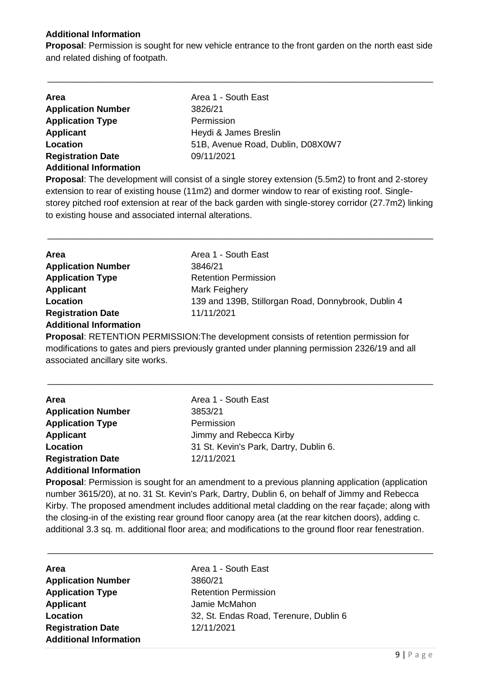### **Additional Information**

**Proposal**: Permission is sought for new vehicle entrance to the front garden on the north east side and related dishing of footpath.

\_\_\_\_\_\_\_\_\_\_\_\_\_\_\_\_\_\_\_\_\_\_\_\_\_\_\_\_\_\_\_\_\_\_\_\_\_\_\_\_\_\_\_\_\_\_\_\_\_\_\_\_\_\_\_\_\_\_\_\_\_\_\_\_\_\_\_\_\_\_\_\_\_\_\_\_\_\_

| <b>Area</b>                   | Area 1 - South East               |
|-------------------------------|-----------------------------------|
| <b>Application Number</b>     | 3826/21                           |
| <b>Application Type</b>       | Permission                        |
| <b>Applicant</b>              | Heydi & James Breslin             |
| Location                      | 51B, Avenue Road, Dublin, D08X0W7 |
| <b>Registration Date</b>      | 09/11/2021                        |
| <b>Additional Information</b> |                                   |

**Proposal**: The development will consist of a single storey extension (5.5m2) to front and 2-storey extension to rear of existing house (11m2) and dormer window to rear of existing roof. Singlestorey pitched roof extension at rear of the back garden with single-storey corridor (27.7m2) linking to existing house and associated internal alterations.

\_\_\_\_\_\_\_\_\_\_\_\_\_\_\_\_\_\_\_\_\_\_\_\_\_\_\_\_\_\_\_\_\_\_\_\_\_\_\_\_\_\_\_\_\_\_\_\_\_\_\_\_\_\_\_\_\_\_\_\_\_\_\_\_\_\_\_\_\_\_\_\_\_\_\_\_\_\_

| Area                          | Area 1 - South East                                                                           |
|-------------------------------|-----------------------------------------------------------------------------------------------|
| <b>Application Number</b>     | 3846/21                                                                                       |
| <b>Application Type</b>       | <b>Retention Permission</b>                                                                   |
| <b>Applicant</b>              | Mark Feighery                                                                                 |
| Location                      | 139 and 139B, Stillorgan Road, Donnybrook, Dublin 4                                           |
| <b>Registration Date</b>      | 11/11/2021                                                                                    |
| <b>Additional Information</b> |                                                                                               |
|                               | <b>Proposal: RETENTION PERMISSION: The development consists of retention permission for</b>   |
|                               | modifications to gates and piers provisuely grapted under planning permission 2326/10 and all |

modifications to gates and piers previously granted under planning permission 2326/19 and all associated ancillary site works.

\_\_\_\_\_\_\_\_\_\_\_\_\_\_\_\_\_\_\_\_\_\_\_\_\_\_\_\_\_\_\_\_\_\_\_\_\_\_\_\_\_\_\_\_\_\_\_\_\_\_\_\_\_\_\_\_\_\_\_\_\_\_\_\_\_\_\_\_\_\_\_\_\_\_\_\_\_\_

| <b>Area</b>                   | Area 1 - South East                    |
|-------------------------------|----------------------------------------|
| <b>Application Number</b>     | 3853/21                                |
| <b>Application Type</b>       | Permission                             |
| <b>Applicant</b>              | Jimmy and Rebecca Kirby                |
| Location                      | 31 St. Kevin's Park, Dartry, Dublin 6. |
| <b>Registration Date</b>      | 12/11/2021                             |
| <b>Additional Information</b> |                                        |

**Proposal**: Permission is sought for an amendment to a previous planning application (application number 3615/20), at no. 31 St. Kevin's Park, Dartry, Dublin 6, on behalf of Jimmy and Rebecca Kirby. The proposed amendment includes additional metal cladding on the rear façade; along with the closing-in of the existing rear ground floor canopy area (at the rear kitchen doors), adding c. additional 3.3 sq. m. additional floor area; and modifications to the ground floor rear fenestration.

| <b>Area</b>                   | Area 1 - South East                    |
|-------------------------------|----------------------------------------|
| <b>Application Number</b>     | 3860/21                                |
| <b>Application Type</b>       | <b>Retention Permission</b>            |
| <b>Applicant</b>              | Jamie McMahon                          |
| Location                      | 32, St. Endas Road, Terenure, Dublin 6 |
| <b>Registration Date</b>      | 12/11/2021                             |
| <b>Additional Information</b> |                                        |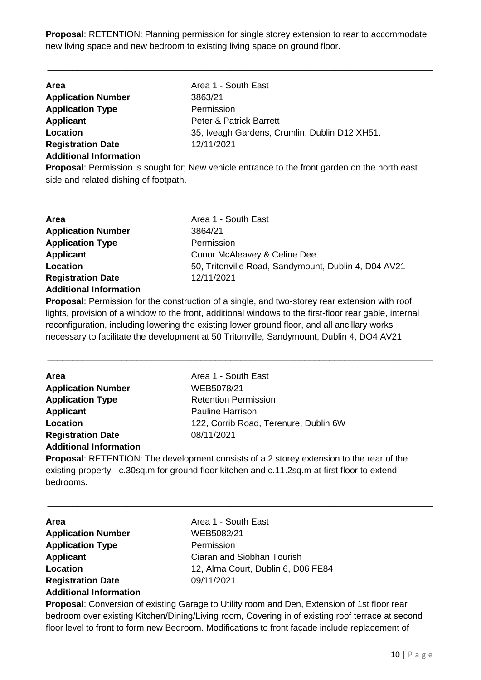**Proposal**: RETENTION: Planning permission for single storey extension to rear to accommodate new living space and new bedroom to existing living space on ground floor.

\_\_\_\_\_\_\_\_\_\_\_\_\_\_\_\_\_\_\_\_\_\_\_\_\_\_\_\_\_\_\_\_\_\_\_\_\_\_\_\_\_\_\_\_\_\_\_\_\_\_\_\_\_\_\_\_\_\_\_\_\_\_\_\_\_\_\_\_\_\_\_\_\_\_\_\_\_\_

| <b>Area</b>                   | Area 1 - South East                           |
|-------------------------------|-----------------------------------------------|
| <b>Application Number</b>     | 3863/21                                       |
| <b>Application Type</b>       | Permission                                    |
| <b>Applicant</b>              | <b>Peter &amp; Patrick Barrett</b>            |
| Location                      | 35, Iveagh Gardens, Crumlin, Dublin D12 XH51. |
| <b>Registration Date</b>      | 12/11/2021                                    |
| <b>Additional Information</b> |                                               |
|                               |                                               |

**Proposal**: Permission is sought for; New vehicle entrance to the front garden on the north east side and related dishing of footpath.

\_\_\_\_\_\_\_\_\_\_\_\_\_\_\_\_\_\_\_\_\_\_\_\_\_\_\_\_\_\_\_\_\_\_\_\_\_\_\_\_\_\_\_\_\_\_\_\_\_\_\_\_\_\_\_\_\_\_\_\_\_\_\_\_\_\_\_\_\_\_\_\_\_\_\_\_\_\_

| Area                          | Area 1 - South East                                                                                    |
|-------------------------------|--------------------------------------------------------------------------------------------------------|
| <b>Application Number</b>     | 3864/21                                                                                                |
| <b>Application Type</b>       | Permission                                                                                             |
| <b>Applicant</b>              | Conor McAleavey & Celine Dee                                                                           |
| Location                      | 50, Tritonville Road, Sandymount, Dublin 4, D04 AV21                                                   |
| <b>Registration Date</b>      | 12/11/2021                                                                                             |
| <b>Additional Information</b> |                                                                                                        |
|                               | Daran rindi. Danastratan fan ika-aran aina ita atau atau ang danar ainaran ang ang ang ang matikana at |

**Proposal**: Permission for the construction of a single, and two-storey rear extension with roof lights, provision of a window to the front, additional windows to the first-floor rear gable, internal reconfiguration, including lowering the existing lower ground floor, and all ancillary works necessary to facilitate the development at 50 Tritonville, Sandymount, Dublin 4, DO4 AV21.

\_\_\_\_\_\_\_\_\_\_\_\_\_\_\_\_\_\_\_\_\_\_\_\_\_\_\_\_\_\_\_\_\_\_\_\_\_\_\_\_\_\_\_\_\_\_\_\_\_\_\_\_\_\_\_\_\_\_\_\_\_\_\_\_\_\_\_\_\_\_\_\_\_\_\_\_\_\_

| <b>Area</b>                   | Area 1 - South East                   |
|-------------------------------|---------------------------------------|
| <b>Application Number</b>     | WEB5078/21                            |
| <b>Application Type</b>       | <b>Retention Permission</b>           |
| <b>Applicant</b>              | <b>Pauline Harrison</b>               |
| Location                      | 122, Corrib Road, Terenure, Dublin 6W |
| <b>Registration Date</b>      | 08/11/2021                            |
| <b>Additional Information</b> |                                       |

**Proposal**: RETENTION: The development consists of a 2 storey extension to the rear of the existing property - c.30sq.m for ground floor kitchen and c.11.2sq.m at first floor to extend bedrooms.

\_\_\_\_\_\_\_\_\_\_\_\_\_\_\_\_\_\_\_\_\_\_\_\_\_\_\_\_\_\_\_\_\_\_\_\_\_\_\_\_\_\_\_\_\_\_\_\_\_\_\_\_\_\_\_\_\_\_\_\_\_\_\_\_\_\_\_\_\_\_\_\_\_\_\_\_\_\_

| <b>Area</b>                   | Area 1 - South East                |
|-------------------------------|------------------------------------|
| <b>Application Number</b>     | WEB5082/21                         |
| <b>Application Type</b>       | Permission                         |
| <b>Applicant</b>              | Ciaran and Siobhan Tourish         |
| Location                      | 12, Alma Court, Dublin 6, D06 FE84 |
| <b>Registration Date</b>      | 09/11/2021                         |
| <b>Additional Information</b> |                                    |

**Proposal**: Conversion of existing Garage to Utility room and Den, Extension of 1st floor rear bedroom over existing Kitchen/Dining/Living room, Covering in of existing roof terrace at second floor level to front to form new Bedroom. Modifications to front façade include replacement of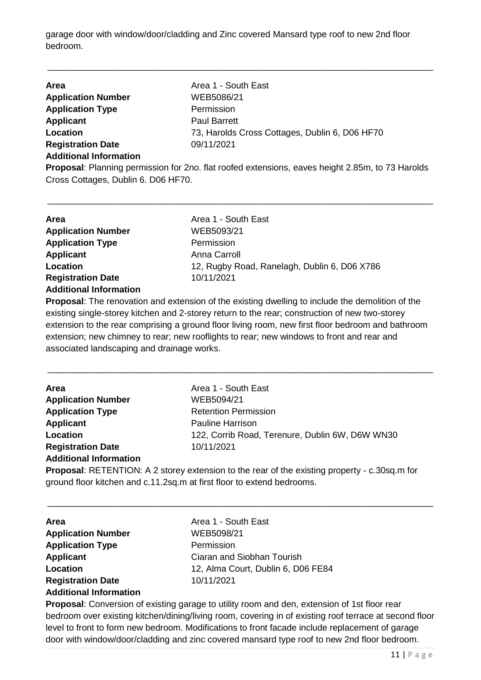garage door with window/door/cladding and Zinc covered Mansard type roof to new 2nd floor bedroom.

\_\_\_\_\_\_\_\_\_\_\_\_\_\_\_\_\_\_\_\_\_\_\_\_\_\_\_\_\_\_\_\_\_\_\_\_\_\_\_\_\_\_\_\_\_\_\_\_\_\_\_\_\_\_\_\_\_\_\_\_\_\_\_\_\_\_\_\_\_\_\_\_\_\_\_\_\_\_

| <b>Area</b>                   | Area 1 - South East                            |
|-------------------------------|------------------------------------------------|
| <b>Application Number</b>     | WEB5086/21                                     |
| <b>Application Type</b>       | Permission                                     |
| <b>Applicant</b>              | <b>Paul Barrett</b>                            |
| Location                      | 73, Harolds Cross Cottages, Dublin 6, D06 HF70 |
| <b>Registration Date</b>      | 09/11/2021                                     |
| <b>Additional Information</b> |                                                |

**Proposal**: Planning permission for 2no. flat roofed extensions, eaves height 2.85m, to 73 Harolds Cross Cottages, Dublin 6. D06 HF70.

\_\_\_\_\_\_\_\_\_\_\_\_\_\_\_\_\_\_\_\_\_\_\_\_\_\_\_\_\_\_\_\_\_\_\_\_\_\_\_\_\_\_\_\_\_\_\_\_\_\_\_\_\_\_\_\_\_\_\_\_\_\_\_\_\_\_\_\_\_\_\_\_\_\_\_\_\_\_

**Proposal**: The renovation and extension of the existing dwelling to include the demolition of the existing single-storey kitchen and 2-storey return to the rear; construction of new two-storey extension to the rear comprising a ground floor living room, new first floor bedroom and bathroom extension; new chimney to rear; new rooflights to rear; new windows to front and rear and associated landscaping and drainage works.

\_\_\_\_\_\_\_\_\_\_\_\_\_\_\_\_\_\_\_\_\_\_\_\_\_\_\_\_\_\_\_\_\_\_\_\_\_\_\_\_\_\_\_\_\_\_\_\_\_\_\_\_\_\_\_\_\_\_\_\_\_\_\_\_\_\_\_\_\_\_\_\_\_\_\_\_\_\_

| Area 1 - South East                             |
|-------------------------------------------------|
| WEB5094/21                                      |
| <b>Retention Permission</b>                     |
| <b>Pauline Harrison</b>                         |
| 122, Corrib Road, Terenure, Dublin 6W, D6W WN30 |
| 10/11/2021                                      |
|                                                 |
|                                                 |

**Proposal**: RETENTION: A 2 storey extension to the rear of the existing property - c.30sq.m for ground floor kitchen and c.11.2sq.m at first floor to extend bedrooms.

\_\_\_\_\_\_\_\_\_\_\_\_\_\_\_\_\_\_\_\_\_\_\_\_\_\_\_\_\_\_\_\_\_\_\_\_\_\_\_\_\_\_\_\_\_\_\_\_\_\_\_\_\_\_\_\_\_\_\_\_\_\_\_\_\_\_\_\_\_\_\_\_\_\_\_\_\_\_

| <b>Area</b>                   | Area 1 - South East                |
|-------------------------------|------------------------------------|
| <b>Application Number</b>     | WEB5098/21                         |
| <b>Application Type</b>       | Permission                         |
| <b>Applicant</b>              | Ciaran and Siobhan Tourish         |
| Location                      | 12, Alma Court, Dublin 6, D06 FE84 |
| <b>Registration Date</b>      | 10/11/2021                         |
| <b>Additional Information</b> |                                    |

**Proposal**: Conversion of existing garage to utility room and den, extension of 1st floor rear bedroom over existing kitchen/dining/living room, covering in of existing roof terrace at second floor level to front to form new bedroom. Modifications to front facade include replacement of garage door with window/door/cladding and zinc covered mansard type roof to new 2nd floor bedroom.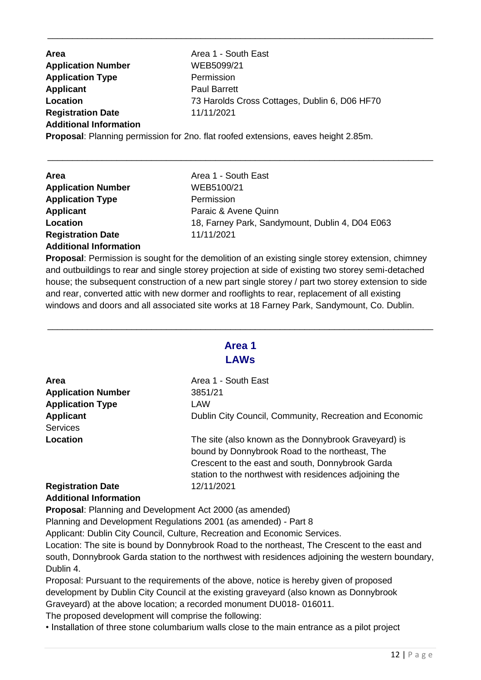**Area Area 1 - South East Application Number** WEB5099/21 **Application Type** Permission **Applicant** Paul Barrett Location **Location** 73 Harolds Cross Cottages, Dublin 6, D06 HF70 **Registration Date** 11/11/2021 **Additional Information Proposal**: Planning permission for 2no. flat roofed extensions, eaves height 2.85m.

\_\_\_\_\_\_\_\_\_\_\_\_\_\_\_\_\_\_\_\_\_\_\_\_\_\_\_\_\_\_\_\_\_\_\_\_\_\_\_\_\_\_\_\_\_\_\_\_\_\_\_\_\_\_\_\_\_\_\_\_\_\_\_\_\_\_\_\_\_\_\_\_\_\_\_\_\_\_

\_\_\_\_\_\_\_\_\_\_\_\_\_\_\_\_\_\_\_\_\_\_\_\_\_\_\_\_\_\_\_\_\_\_\_\_\_\_\_\_\_\_\_\_\_\_\_\_\_\_\_\_\_\_\_\_\_\_\_\_\_\_\_\_\_\_\_\_\_\_\_\_\_\_\_\_\_\_

| <b>Area</b>                   | Area 1 - South East                             |
|-------------------------------|-------------------------------------------------|
| <b>Application Number</b>     | WEB5100/21                                      |
| <b>Application Type</b>       | Permission                                      |
| <b>Applicant</b>              | Paraic & Avene Quinn                            |
| Location                      | 18, Farney Park, Sandymount, Dublin 4, D04 E063 |
| <b>Registration Date</b>      | 11/11/2021                                      |
| <b>Additional Information</b> |                                                 |

**Proposal**: Permission is sought for the demolition of an existing single storey extension, chimney and outbuildings to rear and single storey projection at side of existing two storey semi-detached house; the subsequent construction of a new part single storey / part two storey extension to side and rear, converted attic with new dormer and rooflights to rear, replacement of all existing windows and doors and all associated site works at 18 Farney Park, Sandymount, Co. Dublin.

### **Area 1 LAWs**

\_\_\_\_\_\_\_\_\_\_\_\_\_\_\_\_\_\_\_\_\_\_\_\_\_\_\_\_\_\_\_\_\_\_\_\_\_\_\_\_\_\_\_\_\_\_\_\_\_\_\_\_\_\_\_\_\_\_\_\_\_\_\_\_\_\_\_\_\_\_\_\_\_\_\_\_\_\_

| <b>Area</b>               | Area 1 - South East                                                                                                                                        |
|---------------------------|------------------------------------------------------------------------------------------------------------------------------------------------------------|
| <b>Application Number</b> | 3851/21                                                                                                                                                    |
| <b>Application Type</b>   | LAW                                                                                                                                                        |
| <b>Applicant</b>          | Dublin City Council, Community, Recreation and Economic                                                                                                    |
| <b>Services</b>           |                                                                                                                                                            |
| Location                  | The site (also known as the Donnybrook Graveyard) is<br>bound by Donnybrook Road to the northeast, The<br>Crescent to the east and south, Donnybrook Garda |
| <b>Registration Date</b>  | station to the northwest with residences adjoining the<br>12/11/2021                                                                                       |
|                           |                                                                                                                                                            |

### **Additional Information**

**Proposal**: Planning and Development Act 2000 (as amended)

Planning and Development Regulations 2001 (as amended) - Part 8

Applicant: Dublin City Council, Culture, Recreation and Economic Services.

Location: The site is bound by Donnybrook Road to the northeast, The Crescent to the east and south, Donnybrook Garda station to the northwest with residences adjoining the western boundary, Dublin 4.

Proposal: Pursuant to the requirements of the above, notice is hereby given of proposed development by Dublin City Council at the existing graveyard (also known as Donnybrook Graveyard) at the above location; a recorded monument DU018- 016011.

The proposed development will comprise the following:

• Installation of three stone columbarium walls close to the main entrance as a pilot project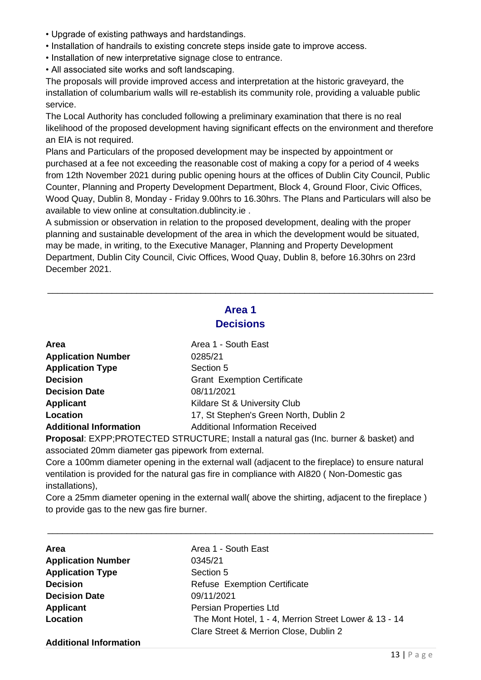- Upgrade of existing pathways and hardstandings.
- Installation of handrails to existing concrete steps inside gate to improve access.
- Installation of new interpretative signage close to entrance.
- All associated site works and soft landscaping.

The proposals will provide improved access and interpretation at the historic graveyard, the installation of columbarium walls will re-establish its community role, providing a valuable public service.

The Local Authority has concluded following a preliminary examination that there is no real likelihood of the proposed development having significant effects on the environment and therefore an EIA is not required.

Plans and Particulars of the proposed development may be inspected by appointment or purchased at a fee not exceeding the reasonable cost of making a copy for a period of 4 weeks from 12th November 2021 during public opening hours at the offices of Dublin City Council, Public Counter, Planning and Property Development Department, Block 4, Ground Floor, Civic Offices, Wood Quay, Dublin 8, Monday - Friday 9.00hrs to 16.30hrs. The Plans and Particulars will also be available to view online at consultation.dublincity.ie .

A submission or observation in relation to the proposed development, dealing with the proper planning and sustainable development of the area in which the development would be situated, may be made, in writing, to the Executive Manager, Planning and Property Development Department, Dublin City Council, Civic Offices, Wood Quay, Dublin 8, before 16.30hrs on 23rd December 2021.

# **Area 1 Decisions**

\_\_\_\_\_\_\_\_\_\_\_\_\_\_\_\_\_\_\_\_\_\_\_\_\_\_\_\_\_\_\_\_\_\_\_\_\_\_\_\_\_\_\_\_\_\_\_\_\_\_\_\_\_\_\_\_\_\_\_\_\_\_\_\_\_\_\_\_\_\_\_\_\_\_\_\_\_\_

| Area                          | Area 1 - South East                    |
|-------------------------------|----------------------------------------|
| <b>Application Number</b>     | 0285/21                                |
| <b>Application Type</b>       | Section 5                              |
| <b>Decision</b>               | <b>Grant Exemption Certificate</b>     |
| <b>Decision Date</b>          | 08/11/2021                             |
| <b>Applicant</b>              | Kildare St & University Club           |
| <b>Location</b>               | 17, St Stephen's Green North, Dublin 2 |
| <b>Additional Information</b> | <b>Additional Information Received</b> |
|                               |                                        |

**Proposal**: EXPP;PROTECTED STRUCTURE; Install a natural gas (Inc. burner & basket) and associated 20mm diameter gas pipework from external.

Core a 100mm diameter opening in the external wall (adjacent to the fireplace) to ensure natural ventilation is provided for the natural gas fire in compliance with AI820 ( Non-Domestic gas installations),

Core a 25mm diameter opening in the external wall( above the shirting, adjacent to the fireplace ) to provide gas to the new gas fire burner.

| <b>Area</b>                   | Area 1 - South East                                   |
|-------------------------------|-------------------------------------------------------|
| <b>Application Number</b>     | 0345/21                                               |
| <b>Application Type</b>       | Section 5                                             |
| <b>Decision</b>               | <b>Refuse Exemption Certificate</b>                   |
| <b>Decision Date</b>          | 09/11/2021                                            |
| <b>Applicant</b>              | Persian Properties Ltd                                |
| Location                      | The Mont Hotel, 1 - 4, Merrion Street Lower & 13 - 14 |
|                               | Clare Street & Merrion Close, Dublin 2                |
| <b>Additional Information</b> |                                                       |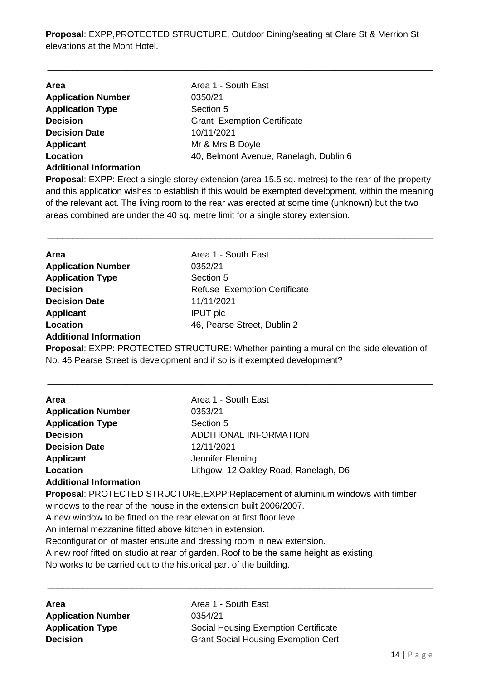**Proposal**: EXPP,PROTECTED STRUCTURE, Outdoor Dining/seating at Clare St & Merrion St elevations at the Mont Hotel.

\_\_\_\_\_\_\_\_\_\_\_\_\_\_\_\_\_\_\_\_\_\_\_\_\_\_\_\_\_\_\_\_\_\_\_\_\_\_\_\_\_\_\_\_\_\_\_\_\_\_\_\_\_\_\_\_\_\_\_\_\_\_\_\_\_\_\_\_\_\_\_\_\_\_\_\_\_\_

| <b>Area</b>                   | Area 1 - South East                    |
|-------------------------------|----------------------------------------|
| <b>Application Number</b>     | 0350/21                                |
| <b>Application Type</b>       | Section 5                              |
| <b>Decision</b>               | <b>Grant Exemption Certificate</b>     |
| <b>Decision Date</b>          | 10/11/2021                             |
| <b>Applicant</b>              | Mr & Mrs B Doyle                       |
| Location                      | 40, Belmont Avenue, Ranelagh, Dublin 6 |
| <b>Additional Information</b> |                                        |

**Proposal**: EXPP: Erect a single storey extension (area 15.5 sq. metres) to the rear of the property and this application wishes to establish if this would be exempted development, within the meaning of the relevant act. The living room to the rear was erected at some time (unknown) but the two areas combined are under the 40 sq. metre limit for a single storey extension.

\_\_\_\_\_\_\_\_\_\_\_\_\_\_\_\_\_\_\_\_\_\_\_\_\_\_\_\_\_\_\_\_\_\_\_\_\_\_\_\_\_\_\_\_\_\_\_\_\_\_\_\_\_\_\_\_\_\_\_\_\_\_\_\_\_\_\_\_\_\_\_\_\_\_\_\_\_\_

| <b>Area</b>                   | Area 1 - South East                                                                           |
|-------------------------------|-----------------------------------------------------------------------------------------------|
| <b>Application Number</b>     | 0352/21                                                                                       |
| <b>Application Type</b>       | Section 5                                                                                     |
| <b>Decision</b>               | <b>Refuse Exemption Certificate</b>                                                           |
| <b>Decision Date</b>          | 11/11/2021                                                                                    |
| <b>Applicant</b>              | <b>IPUT</b> plc                                                                               |
| <b>Location</b>               | 46, Pearse Street, Dublin 2                                                                   |
| <b>Additional Information</b> |                                                                                               |
|                               | <b>Proposal:</b> EXPP: PROTECTED STRUCTURE: Whether painting a mural on the side elevation of |

No. 46 Pearse Street is development and if so is it exempted development?

| <b>Area</b>               | Area 1 - South East                   |  |
|---------------------------|---------------------------------------|--|
| <b>Application Number</b> | 0353/21                               |  |
| <b>Application Type</b>   | Section 5                             |  |
| <b>Decision</b>           | ADDITIONAL INFORMATION                |  |
| <b>Decision Date</b>      | 12/11/2021                            |  |
| <b>Applicant</b>          | Jennifer Fleming                      |  |
| Location                  | Lithgow, 12 Oakley Road, Ranelagh, D6 |  |

#### **Additional Information**

**Proposal**: PROTECTED STRUCTURE,EXPP;Replacement of aluminium windows with timber windows to the rear of the house in the extension built 2006/2007.

\_\_\_\_\_\_\_\_\_\_\_\_\_\_\_\_\_\_\_\_\_\_\_\_\_\_\_\_\_\_\_\_\_\_\_\_\_\_\_\_\_\_\_\_\_\_\_\_\_\_\_\_\_\_\_\_\_\_\_\_\_\_\_\_\_\_\_\_\_\_\_\_\_\_\_\_\_\_

A new window to be fitted on the rear elevation at first floor level.

An internal mezzanine fitted above kitchen in extension.

Reconfiguration of master ensuite and dressing room in new extension.

A new roof fitted on studio at rear of garden. Roof to be the same height as existing.

No works to be carried out to the historical part of the building.

| Area                      | Area 1 - South East                        |
|---------------------------|--------------------------------------------|
| <b>Application Number</b> | 0354/21                                    |
| <b>Application Type</b>   | Social Housing Exemption Certificate       |
| <b>Decision</b>           | <b>Grant Social Housing Exemption Cert</b> |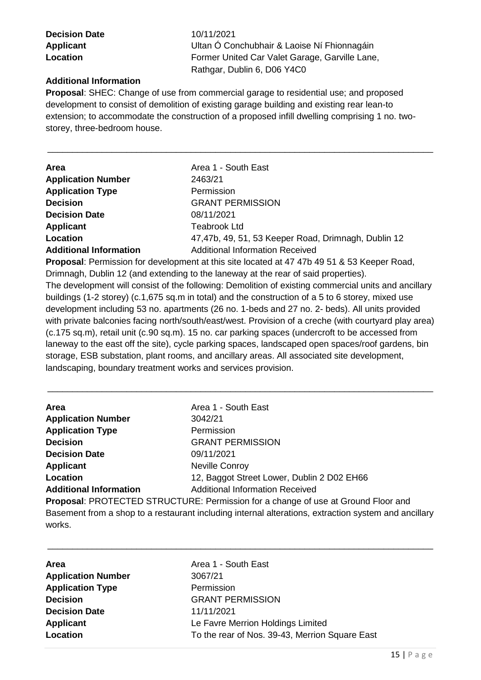**Decision Date** 10/11/2021

**Applicant** Ultan Ó Conchubhair & Laoise Ní Fhionnagáin **Location Example 2** Former United Car Valet Garage, Garville Lane, Rathgar, Dublin 6, D06 Y4C0

### **Additional Information**

**Proposal**: SHEC: Change of use from commercial garage to residential use; and proposed development to consist of demolition of existing garage building and existing rear lean-to extension; to accommodate the construction of a proposed infill dwelling comprising 1 no. twostorey, three-bedroom house.

\_\_\_\_\_\_\_\_\_\_\_\_\_\_\_\_\_\_\_\_\_\_\_\_\_\_\_\_\_\_\_\_\_\_\_\_\_\_\_\_\_\_\_\_\_\_\_\_\_\_\_\_\_\_\_\_\_\_\_\_\_\_\_\_\_\_\_\_\_\_\_\_\_\_\_\_\_\_

| <b>Area</b>                   | Area 1 - South East                                 |
|-------------------------------|-----------------------------------------------------|
| <b>Application Number</b>     | 2463/21                                             |
| <b>Application Type</b>       | Permission                                          |
| <b>Decision</b>               | <b>GRANT PERMISSION</b>                             |
| <b>Decision Date</b>          | 08/11/2021                                          |
| <b>Applicant</b>              | Teabrook Ltd                                        |
| Location                      | 47,47b, 49, 51, 53 Keeper Road, Drimnagh, Dublin 12 |
| <b>Additional Information</b> | <b>Additional Information Received</b>              |
|                               |                                                     |

**Proposal**: Permission for development at this site located at 47 47b 49 51 & 53 Keeper Road, Drimnagh, Dublin 12 (and extending to the laneway at the rear of said properties). The development will consist of the following: Demolition of existing commercial units and ancillary buildings (1-2 storey) (c.1,675 sq.m in total) and the construction of a 5 to 6 storey, mixed use development including 53 no. apartments (26 no. 1-beds and 27 no. 2- beds). All units provided with private balconies facing north/south/east/west. Provision of a creche (with courtyard play area) (c.175 sq.m), retail unit (c.90 sq.m). 15 no. car parking spaces (undercroft to be accessed from laneway to the east off the site), cycle parking spaces, landscaped open spaces/roof gardens, bin storage, ESB substation, plant rooms, and ancillary areas. All associated site development, landscaping, boundary treatment works and services provision.

\_\_\_\_\_\_\_\_\_\_\_\_\_\_\_\_\_\_\_\_\_\_\_\_\_\_\_\_\_\_\_\_\_\_\_\_\_\_\_\_\_\_\_\_\_\_\_\_\_\_\_\_\_\_\_\_\_\_\_\_\_\_\_\_\_\_\_\_\_\_\_\_\_\_\_\_\_\_

| Area                                                                              | Area 1 - South East                        |
|-----------------------------------------------------------------------------------|--------------------------------------------|
| <b>Application Number</b>                                                         | 3042/21                                    |
| <b>Application Type</b>                                                           | Permission                                 |
| <b>Decision</b>                                                                   | <b>GRANT PERMISSION</b>                    |
| <b>Decision Date</b>                                                              | 09/11/2021                                 |
| <b>Applicant</b>                                                                  | <b>Neville Conroy</b>                      |
| Location                                                                          | 12, Baggot Street Lower, Dublin 2 D02 EH66 |
| <b>Additional Information</b>                                                     | <b>Additional Information Received</b>     |
| Proposal: PROTECTED STRUCTURE: Permission for a change of use at Ground Floor and |                                            |

Basement from a shop to a restaurant including internal alterations, extraction system and ancillary works.

| <b>Area</b>               | Area 1 - South East                            |
|---------------------------|------------------------------------------------|
| <b>Application Number</b> | 3067/21                                        |
| <b>Application Type</b>   | Permission                                     |
| <b>Decision</b>           | <b>GRANT PERMISSION</b>                        |
| <b>Decision Date</b>      | 11/11/2021                                     |
| <b>Applicant</b>          | Le Favre Merrion Holdings Limited              |
| Location                  | To the rear of Nos. 39-43, Merrion Square East |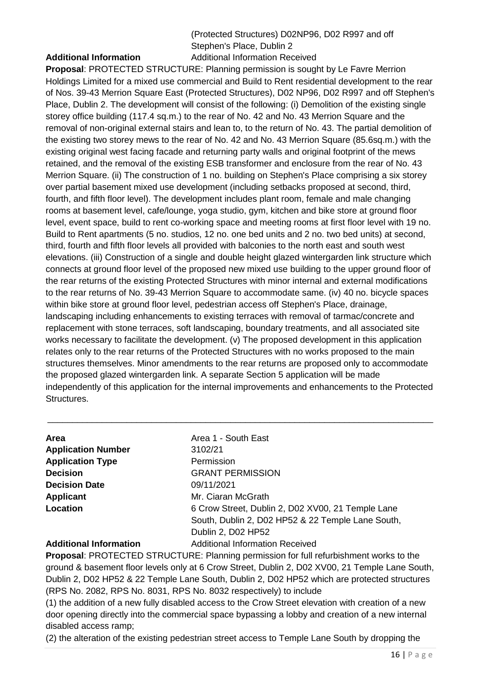### (Protected Structures) D02NP96, D02 R997 and off Stephen's Place, Dublin 2 **Additional Information** Additional Information Received

**Proposal**: PROTECTED STRUCTURE: Planning permission is sought by Le Favre Merrion Holdings Limited for a mixed use commercial and Build to Rent residential development to the rear of Nos. 39-43 Merrion Square East (Protected Structures), D02 NP96, D02 R997 and off Stephen's Place, Dublin 2. The development will consist of the following: (i) Demolition of the existing single storey office building (117.4 sq.m.) to the rear of No. 42 and No. 43 Merrion Square and the removal of non-original external stairs and lean to, to the return of No. 43. The partial demolition of the existing two storey mews to the rear of No. 42 and No. 43 Merrion Square (85.6sq.m.) with the existing original west facing facade and returning party walls and original footprint of the mews retained, and the removal of the existing ESB transformer and enclosure from the rear of No. 43 Merrion Square. (ii) The construction of 1 no. building on Stephen's Place comprising a six storey over partial basement mixed use development (including setbacks proposed at second, third, fourth, and fifth floor level). The development includes plant room, female and male changing rooms at basement level, cafe/lounge, yoga studio, gym, kitchen and bike store at ground floor level, event space, build to rent co-working space and meeting rooms at first floor level with 19 no. Build to Rent apartments (5 no. studios, 12 no. one bed units and 2 no. two bed units) at second, third, fourth and fifth floor levels all provided with balconies to the north east and south west elevations. (iii) Construction of a single and double height glazed wintergarden link structure which connects at ground floor level of the proposed new mixed use building to the upper ground floor of the rear returns of the existing Protected Structures with minor internal and external modifications to the rear returns of No. 39-43 Merrion Square to accommodate same. (iv) 40 no. bicycle spaces within bike store at ground floor level, pedestrian access off Stephen's Place, drainage, landscaping including enhancements to existing terraces with removal of tarmac/concrete and replacement with stone terraces, soft landscaping, boundary treatments, and all associated site works necessary to facilitate the development. (v) The proposed development in this application relates only to the rear returns of the Protected Structures with no works proposed to the main structures themselves. Minor amendments to the rear returns are proposed only to accommodate the proposed glazed wintergarden link. A separate Section 5 application will be made independently of this application for the internal improvements and enhancements to the Protected Structures.

| Area                          | Area 1 - South East                               |
|-------------------------------|---------------------------------------------------|
| <b>Application Number</b>     | 3102/21                                           |
| <b>Application Type</b>       | Permission                                        |
| <b>Decision</b>               | <b>GRANT PERMISSION</b>                           |
| <b>Decision Date</b>          | 09/11/2021                                        |
| <b>Applicant</b>              | Mr. Ciaran McGrath                                |
| Location                      | 6 Crow Street, Dublin 2, D02 XV00, 21 Temple Lane |
|                               | South, Dublin 2, D02 HP52 & 22 Temple Lane South, |
|                               | Dublin 2, D02 HP52                                |
| <b>Additional Information</b> | <b>Additional Information Received</b>            |

\_\_\_\_\_\_\_\_\_\_\_\_\_\_\_\_\_\_\_\_\_\_\_\_\_\_\_\_\_\_\_\_\_\_\_\_\_\_\_\_\_\_\_\_\_\_\_\_\_\_\_\_\_\_\_\_\_\_\_\_\_\_\_\_\_\_\_\_\_\_\_\_\_\_\_\_\_\_

**Proposal**: PROTECTED STRUCTURE: Planning permission for full refurbishment works to the ground & basement floor levels only at 6 Crow Street, Dublin 2, D02 XV00, 21 Temple Lane South, Dublin 2, D02 HP52 & 22 Temple Lane South, Dublin 2, D02 HP52 which are protected structures (RPS No. 2082, RPS No. 8031, RPS No. 8032 respectively) to include

(1) the addition of a new fully disabled access to the Crow Street elevation with creation of a new door opening directly into the commercial space bypassing a lobby and creation of a new internal disabled access ramp;

(2) the alteration of the existing pedestrian street access to Temple Lane South by dropping the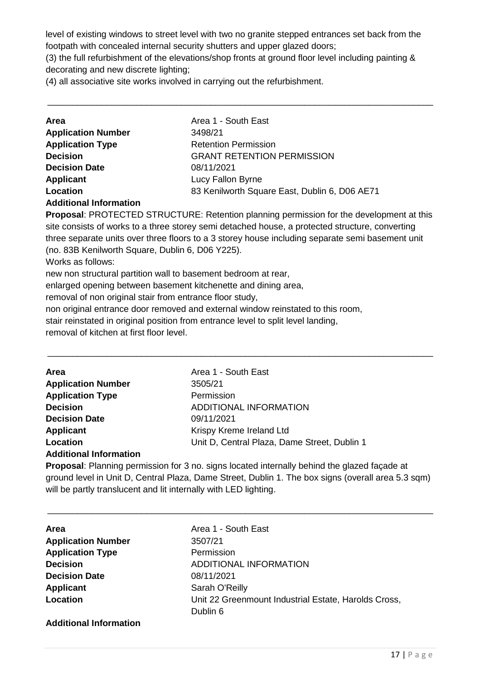level of existing windows to street level with two no granite stepped entrances set back from the footpath with concealed internal security shutters and upper glazed doors;

(3) the full refurbishment of the elevations/shop fronts at ground floor level including painting & decorating and new discrete lighting;

\_\_\_\_\_\_\_\_\_\_\_\_\_\_\_\_\_\_\_\_\_\_\_\_\_\_\_\_\_\_\_\_\_\_\_\_\_\_\_\_\_\_\_\_\_\_\_\_\_\_\_\_\_\_\_\_\_\_\_\_\_\_\_\_\_\_\_\_\_\_\_\_\_\_\_\_\_\_

(4) all associative site works involved in carrying out the refurbishment.

| Area 1 - South East                           |
|-----------------------------------------------|
| 3498/21                                       |
| <b>Retention Permission</b>                   |
| <b>GRANT RETENTION PERMISSION</b>             |
| 08/11/2021                                    |
| Lucy Fallon Byrne                             |
| 83 Kenilworth Square East, Dublin 6, D06 AE71 |
|                                               |

**Additional Information**

**Proposal**: PROTECTED STRUCTURE: Retention planning permission for the development at this site consists of works to a three storey semi detached house, a protected structure, converting three separate units over three floors to a 3 storey house including separate semi basement unit (no. 83B Kenilworth Square, Dublin 6, D06 Y225).

\_\_\_\_\_\_\_\_\_\_\_\_\_\_\_\_\_\_\_\_\_\_\_\_\_\_\_\_\_\_\_\_\_\_\_\_\_\_\_\_\_\_\_\_\_\_\_\_\_\_\_\_\_\_\_\_\_\_\_\_\_\_\_\_\_\_\_\_\_\_\_\_\_\_\_\_\_\_

Works as follows:

new non structural partition wall to basement bedroom at rear,

enlarged opening between basement kitchenette and dining area,

removal of non original stair from entrance floor study,

non original entrance door removed and external window reinstated to this room,

stair reinstated in original position from entrance level to split level landing,

removal of kitchen at first floor level.

| <b>Area</b>               | Area 1 - South East                          |
|---------------------------|----------------------------------------------|
| <b>Application Number</b> | 3505/21                                      |
| <b>Application Type</b>   | Permission                                   |
| <b>Decision</b>           | ADDITIONAL INFORMATION                       |
| <b>Decision Date</b>      | 09/11/2021                                   |
| <b>Applicant</b>          | Krispy Kreme Ireland Ltd                     |
| Location                  | Unit D, Central Plaza, Dame Street, Dublin 1 |
|                           |                                              |

#### **Additional Information**

**Proposal**: Planning permission for 3 no. signs located internally behind the glazed façade at ground level in Unit D, Central Plaza, Dame Street, Dublin 1. The box signs (overall area 5.3 sqm) will be partly translucent and lit internally with LED lighting.

| Area                          | Area 1 - South East                                  |
|-------------------------------|------------------------------------------------------|
| <b>Application Number</b>     | 3507/21                                              |
| <b>Application Type</b>       | Permission                                           |
| <b>Decision</b>               | <b>ADDITIONAL INFORMATION</b>                        |
| <b>Decision Date</b>          | 08/11/2021                                           |
| <b>Applicant</b>              | Sarah O'Reilly                                       |
| Location                      | Unit 22 Greenmount Industrial Estate, Harolds Cross, |
|                               | Dublin 6                                             |
| <b>Additional Information</b> |                                                      |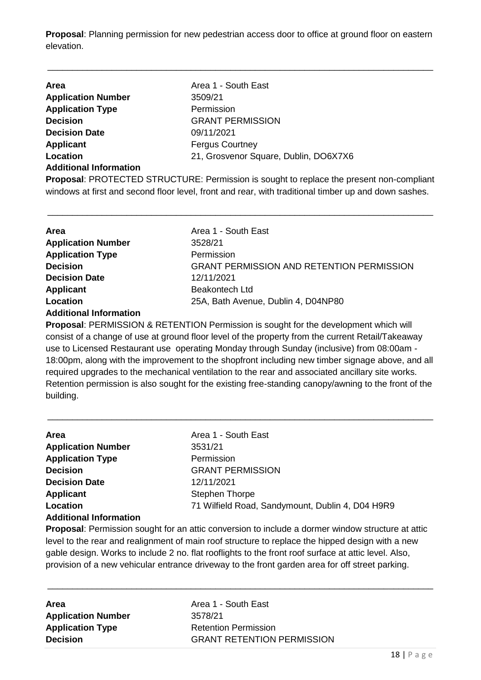**Proposal**: Planning permission for new pedestrian access door to office at ground floor on eastern elevation.

\_\_\_\_\_\_\_\_\_\_\_\_\_\_\_\_\_\_\_\_\_\_\_\_\_\_\_\_\_\_\_\_\_\_\_\_\_\_\_\_\_\_\_\_\_\_\_\_\_\_\_\_\_\_\_\_\_\_\_\_\_\_\_\_\_\_\_\_\_\_\_\_\_\_\_\_\_\_

| <b>Area</b>                   | Area 1 - South East                   |
|-------------------------------|---------------------------------------|
| <b>Application Number</b>     | 3509/21                               |
| <b>Application Type</b>       | Permission                            |
| <b>Decision</b>               | <b>GRANT PERMISSION</b>               |
| <b>Decision Date</b>          | 09/11/2021                            |
| <b>Applicant</b>              | <b>Fergus Courtney</b>                |
| Location                      | 21, Grosvenor Square, Dublin, DO6X7X6 |
| <b>Additional Information</b> |                                       |

**Proposal**: PROTECTED STRUCTURE: Permission is sought to replace the present non-compliant windows at first and second floor level, front and rear, with traditional timber up and down sashes.

\_\_\_\_\_\_\_\_\_\_\_\_\_\_\_\_\_\_\_\_\_\_\_\_\_\_\_\_\_\_\_\_\_\_\_\_\_\_\_\_\_\_\_\_\_\_\_\_\_\_\_\_\_\_\_\_\_\_\_\_\_\_\_\_\_\_\_\_\_\_\_\_\_\_\_\_\_\_

| <b>Area</b>               | Area 1 - South East                              |
|---------------------------|--------------------------------------------------|
| <b>Application Number</b> | 3528/21                                          |
| <b>Application Type</b>   | Permission                                       |
| <b>Decision</b>           | <b>GRANT PERMISSION AND RETENTION PERMISSION</b> |
| <b>Decision Date</b>      | 12/11/2021                                       |
| Applicant                 | Beakontech Ltd                                   |
| Location                  | 25A, Bath Avenue, Dublin 4, D04NP80              |
|                           |                                                  |

#### **Additional Information**

**Proposal**: PERMISSION & RETENTION Permission is sought for the development which will consist of a change of use at ground floor level of the property from the current Retail/Takeaway use to Licensed Restaurant use operating Monday through Sunday (inclusive) from 08:00am - 18:00pm, along with the improvement to the shopfront including new timber signage above, and all required upgrades to the mechanical ventilation to the rear and associated ancillary site works. Retention permission is also sought for the existing free-standing canopy/awning to the front of the building.

\_\_\_\_\_\_\_\_\_\_\_\_\_\_\_\_\_\_\_\_\_\_\_\_\_\_\_\_\_\_\_\_\_\_\_\_\_\_\_\_\_\_\_\_\_\_\_\_\_\_\_\_\_\_\_\_\_\_\_\_\_\_\_\_\_\_\_\_\_\_\_\_\_\_\_\_\_\_

| Area                          | Area 1 - South East                              |
|-------------------------------|--------------------------------------------------|
| <b>Application Number</b>     | 3531/21                                          |
| <b>Application Type</b>       | Permission                                       |
| <b>Decision</b>               | <b>GRANT PERMISSION</b>                          |
| <b>Decision Date</b>          | 12/11/2021                                       |
| <b>Applicant</b>              | <b>Stephen Thorpe</b>                            |
| Location                      | 71 Wilfield Road, Sandymount, Dublin 4, D04 H9R9 |
| <b>Additional Information</b> |                                                  |

**Proposal**: Permission sought for an attic conversion to include a dormer window structure at attic level to the rear and realignment of main roof structure to replace the hipped design with a new gable design. Works to include 2 no. flat rooflights to the front roof surface at attic level. Also, provision of a new vehicular entrance driveway to the front garden area for off street parking.

\_\_\_\_\_\_\_\_\_\_\_\_\_\_\_\_\_\_\_\_\_\_\_\_\_\_\_\_\_\_\_\_\_\_\_\_\_\_\_\_\_\_\_\_\_\_\_\_\_\_\_\_\_\_\_\_\_\_\_\_\_\_\_\_\_\_\_\_\_\_\_\_\_\_\_\_\_\_

| Area                      |
|---------------------------|
| <b>Application Number</b> |
| <b>Application Type</b>   |
| <b>Decision</b>           |

**Area** Area 1 - South East **Application Number** 3578/21 **Retention Permission GRANT RETENTION PERMISSION**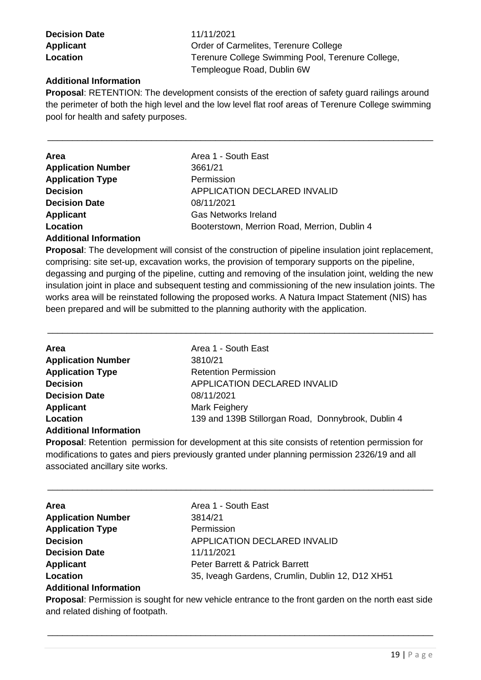**Decision Date** 11/11/2021

Applicant **Applicant** Order of Carmelites, Terenure College **Location** Terenure College Swimming Pool, Terenure College, Templeogue Road, Dublin 6W

## **Additional Information**

**Proposal**: RETENTION: The development consists of the erection of safety guard railings around the perimeter of both the high level and the low level flat roof areas of Terenure College swimming pool for health and safety purposes.

\_\_\_\_\_\_\_\_\_\_\_\_\_\_\_\_\_\_\_\_\_\_\_\_\_\_\_\_\_\_\_\_\_\_\_\_\_\_\_\_\_\_\_\_\_\_\_\_\_\_\_\_\_\_\_\_\_\_\_\_\_\_\_\_\_\_\_\_\_\_\_\_\_\_\_\_\_\_

| <b>Application Number</b><br>3661/21                     |
|----------------------------------------------------------|
| <b>Application Type</b><br>Permission                    |
| <b>Decision</b><br>APPLICATION DECLARED INVALID          |
| <b>Decision Date</b><br>08/11/2021                       |
| <b>Applicant</b><br><b>Gas Networks Ireland</b>          |
| Location<br>Booterstown, Merrion Road, Merrion, Dublin 4 |

#### **Additional Information**

**Proposal**: The development will consist of the construction of pipeline insulation joint replacement, comprising: site set-up, excavation works, the provision of temporary supports on the pipeline, degassing and purging of the pipeline, cutting and removing of the insulation joint, welding the new insulation joint in place and subsequent testing and commissioning of the new insulation joints. The works area will be reinstated following the proposed works. A Natura Impact Statement (NIS) has been prepared and will be submitted to the planning authority with the application.

\_\_\_\_\_\_\_\_\_\_\_\_\_\_\_\_\_\_\_\_\_\_\_\_\_\_\_\_\_\_\_\_\_\_\_\_\_\_\_\_\_\_\_\_\_\_\_\_\_\_\_\_\_\_\_\_\_\_\_\_\_\_\_\_\_\_\_\_\_\_\_\_\_\_\_\_\_\_

| <b>Area</b>                   | Area 1 - South East                                |
|-------------------------------|----------------------------------------------------|
| <b>Application Number</b>     | 3810/21                                            |
| <b>Application Type</b>       | <b>Retention Permission</b>                        |
| <b>Decision</b>               | APPLICATION DECLARED INVALID                       |
| <b>Decision Date</b>          | 08/11/2021                                         |
| Applicant                     | Mark Feighery                                      |
| Location                      | 139 and 139B Stillorgan Road, Donnybrook, Dublin 4 |
| <b>Additional Information</b> |                                                    |

**Proposal**: Retention permission for development at this site consists of retention permission for modifications to gates and piers previously granted under planning permission 2326/19 and all associated ancillary site works.

\_\_\_\_\_\_\_\_\_\_\_\_\_\_\_\_\_\_\_\_\_\_\_\_\_\_\_\_\_\_\_\_\_\_\_\_\_\_\_\_\_\_\_\_\_\_\_\_\_\_\_\_\_\_\_\_\_\_\_\_\_\_\_\_\_\_\_\_\_\_\_\_\_\_\_\_\_\_

| <b>Area</b>                   | Area 1 - South East                              |
|-------------------------------|--------------------------------------------------|
| <b>Application Number</b>     | 3814/21                                          |
| <b>Application Type</b>       | Permission                                       |
| <b>Decision</b>               | APPLICATION DECLARED INVALID                     |
| <b>Decision Date</b>          | 11/11/2021                                       |
| <b>Applicant</b>              | Peter Barrett & Patrick Barrett                  |
| Location                      | 35, Iveagh Gardens, Crumlin, Dublin 12, D12 XH51 |
| <b>Additional Information</b> |                                                  |

**Proposal**: Permission is sought for new vehicle entrance to the front garden on the north east side and related dishing of footpath.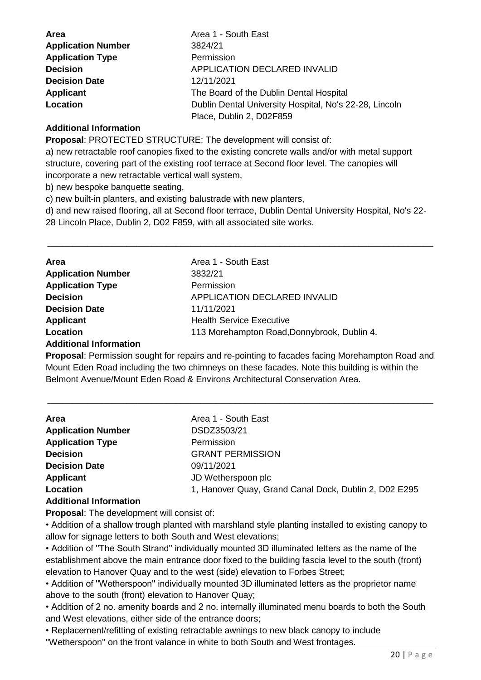| <b>Area</b>               | Area 1 - South East                                    |
|---------------------------|--------------------------------------------------------|
| <b>Application Number</b> | 3824/21                                                |
| <b>Application Type</b>   | Permission                                             |
| <b>Decision</b>           | <b>APPLICATION DECLARED INVALID</b>                    |
| <b>Decision Date</b>      | 12/11/2021                                             |
| <b>Applicant</b>          | The Board of the Dublin Dental Hospital                |
| Location                  | Dublin Dental University Hospital, No's 22-28, Lincoln |
|                           | Place, Dublin 2, D02F859                               |

#### **Additional Information**

**Proposal**: PROTECTED STRUCTURE: The development will consist of:

a) new retractable roof canopies fixed to the existing concrete walls and/or with metal support structure, covering part of the existing roof terrace at Second floor level. The canopies will incorporate a new retractable vertical wall system,

b) new bespoke banquette seating,

c) new built-in planters, and existing balustrade with new planters,

d) and new raised flooring, all at Second floor terrace, Dublin Dental University Hospital, No's 22- 28 Lincoln Place, Dublin 2, D02 F859, with all associated site works.

\_\_\_\_\_\_\_\_\_\_\_\_\_\_\_\_\_\_\_\_\_\_\_\_\_\_\_\_\_\_\_\_\_\_\_\_\_\_\_\_\_\_\_\_\_\_\_\_\_\_\_\_\_\_\_\_\_\_\_\_\_\_\_\_\_\_\_\_\_\_\_\_\_\_\_\_\_\_

| <b>Area</b>               | Area 1 - South East                         |
|---------------------------|---------------------------------------------|
| <b>Application Number</b> | 3832/21                                     |
| <b>Application Type</b>   | Permission                                  |
| <b>Decision</b>           | APPLICATION DECLARED INVALID                |
| <b>Decision Date</b>      | 11/11/2021                                  |
| <b>Applicant</b>          | <b>Health Service Executive</b>             |
| Location                  | 113 Morehampton Road, Donnybrook, Dublin 4. |

#### **Additional Information**

**Proposal**: Permission sought for repairs and re-pointing to facades facing Morehampton Road and Mount Eden Road including the two chimneys on these facades. Note this building is within the Belmont Avenue/Mount Eden Road & Environs Architectural Conservation Area.

\_\_\_\_\_\_\_\_\_\_\_\_\_\_\_\_\_\_\_\_\_\_\_\_\_\_\_\_\_\_\_\_\_\_\_\_\_\_\_\_\_\_\_\_\_\_\_\_\_\_\_\_\_\_\_\_\_\_\_\_\_\_\_\_\_\_\_\_\_\_\_\_\_\_\_\_\_\_

| Area                          | Area 1 - South East                                   |
|-------------------------------|-------------------------------------------------------|
| <b>Application Number</b>     | DSDZ3503/21                                           |
| <b>Application Type</b>       | Permission                                            |
| <b>Decision</b>               | <b>GRANT PERMISSION</b>                               |
| <b>Decision Date</b>          | 09/11/2021                                            |
| Applicant                     | JD Wetherspoon plc                                    |
| Location                      | 1, Hanover Quay, Grand Canal Dock, Dublin 2, D02 E295 |
| <b>Additional Information</b> |                                                       |

#### **Proposal**: The development will consist of:

• Addition of a shallow trough planted with marshland style planting installed to existing canopy to allow for signage letters to both South and West elevations;

• Addition of ''The South Strand'' individually mounted 3D illuminated letters as the name of the establishment above the main entrance door fixed to the building fascia level to the south (front) elevation to Hanover Quay and to the west (side) elevation to Forbes Street;

• Addition of ''Wetherspoon'' individually mounted 3D illuminated letters as the proprietor name above to the south (front) elevation to Hanover Quay;

• Addition of 2 no. amenity boards and 2 no. internally illuminated menu boards to both the South and West elevations, either side of the entrance doors;

• Replacement/refitting of existing retractable awnings to new black canopy to include ''Wetherspoon'' on the front valance in white to both South and West frontages.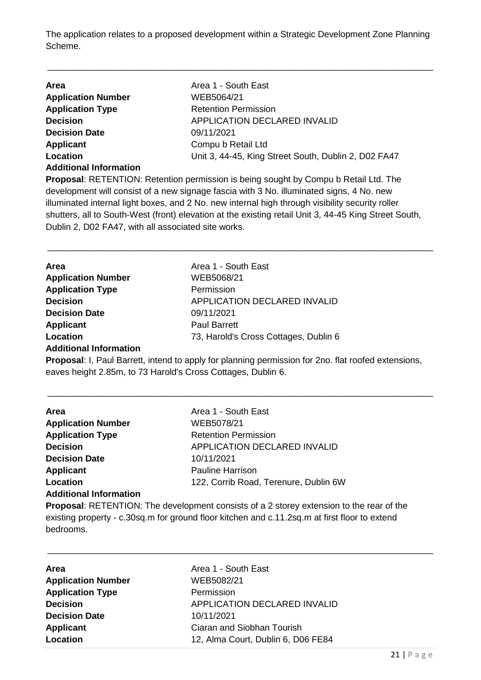The application relates to a proposed development within a Strategic Development Zone Planning Scheme.

\_\_\_\_\_\_\_\_\_\_\_\_\_\_\_\_\_\_\_\_\_\_\_\_\_\_\_\_\_\_\_\_\_\_\_\_\_\_\_\_\_\_\_\_\_\_\_\_\_\_\_\_\_\_\_\_\_\_\_\_\_\_\_\_\_\_\_\_\_\_\_\_\_\_\_\_\_\_

| Area                          | Area 1 - South East                                                                         |
|-------------------------------|---------------------------------------------------------------------------------------------|
| <b>Application Number</b>     | WEB5064/21                                                                                  |
| <b>Application Type</b>       | <b>Retention Permission</b>                                                                 |
| <b>Decision</b>               | APPLICATION DECLARED INVALID                                                                |
| <b>Decision Date</b>          | 09/11/2021                                                                                  |
| Applicant                     | Compu b Retail Ltd                                                                          |
| Location                      | Unit 3, 44-45, King Street South, Dublin 2, D02 FA47                                        |
| <b>Additional Information</b> |                                                                                             |
|                               | <b>Drepagal, DETENTION, Detention permission is hoing cought by Compute Detail Ltd. The</b> |

**Proposal**: RETENTION: Retention permission is being sought by Compu b Retail Ltd. The development will consist of a new signage fascia with 3 No. illuminated signs, 4 No. new illuminated internal light boxes, and 2 No. new internal high through visibility security roller shutters, all to South-West (front) elevation at the existing retail Unit 3, 44-45 King Street South, Dublin 2, D02 FA47, with all associated site works.

\_\_\_\_\_\_\_\_\_\_\_\_\_\_\_\_\_\_\_\_\_\_\_\_\_\_\_\_\_\_\_\_\_\_\_\_\_\_\_\_\_\_\_\_\_\_\_\_\_\_\_\_\_\_\_\_\_\_\_\_\_\_\_\_\_\_\_\_\_\_\_\_\_\_\_\_\_\_

| <b>Area</b>               | Area 1 - South East                   |
|---------------------------|---------------------------------------|
| <b>Application Number</b> | WEB5068/21                            |
| <b>Application Type</b>   | Permission                            |
| <b>Decision</b>           | APPLICATION DECLARED INVALID          |
| <b>Decision Date</b>      | 09/11/2021                            |
| <b>Applicant</b>          | <b>Paul Barrett</b>                   |
| Location                  | 73, Harold's Cross Cottages, Dublin 6 |
|                           |                                       |

#### **Additional Information**

**Proposal**: I, Paul Barrett, intend to apply for planning permission for 2no. flat roofed extensions, eaves height 2.85m, to 73 Harold's Cross Cottages, Dublin 6.

\_\_\_\_\_\_\_\_\_\_\_\_\_\_\_\_\_\_\_\_\_\_\_\_\_\_\_\_\_\_\_\_\_\_\_\_\_\_\_\_\_\_\_\_\_\_\_\_\_\_\_\_\_\_\_\_\_\_\_\_\_\_\_\_\_\_\_\_\_\_\_\_\_\_\_\_\_\_

| Area                          | Area 1 - South East                   |
|-------------------------------|---------------------------------------|
| <b>Application Number</b>     | WEB5078/21                            |
| <b>Application Type</b>       | <b>Retention Permission</b>           |
| <b>Decision</b>               | APPLICATION DECLARED INVALID          |
| <b>Decision Date</b>          | 10/11/2021                            |
| <b>Applicant</b>              | <b>Pauline Harrison</b>               |
| Location                      | 122, Corrib Road, Terenure, Dublin 6W |
| <b>Additional Information</b> |                                       |
|                               |                                       |

**Proposal**: RETENTION: The development consists of a 2 storey extension to the rear of the existing property - c.30sq.m for ground floor kitchen and c.11.2sq.m at first floor to extend bedrooms.

| <b>Area</b>               | Area 1 - South East                |
|---------------------------|------------------------------------|
| <b>Application Number</b> | WEB5082/21                         |
| <b>Application Type</b>   | Permission                         |
| <b>Decision</b>           | APPLICATION DECLARED INVALID       |
| <b>Decision Date</b>      | 10/11/2021                         |
| <b>Applicant</b>          | Ciaran and Siobhan Tourish         |
| Location                  | 12, Alma Court, Dublin 6, D06 FE84 |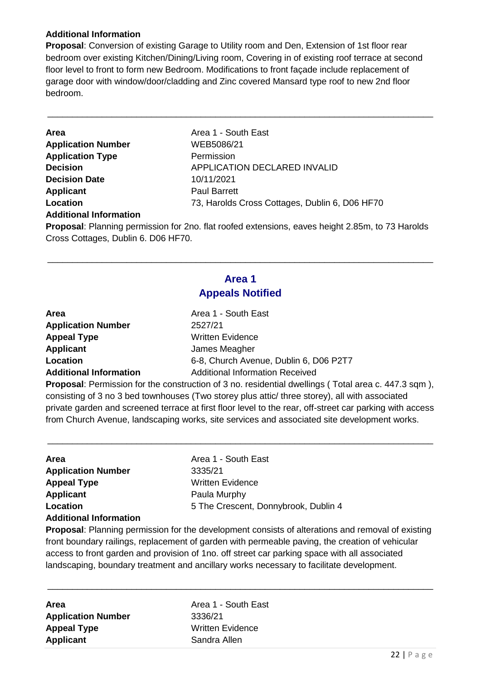### **Additional Information**

Cross Cottages, Dublin 6. D06 HF70.

**Proposal**: Conversion of existing Garage to Utility room and Den, Extension of 1st floor rear bedroom over existing Kitchen/Dining/Living room, Covering in of existing roof terrace at second floor level to front to form new Bedroom. Modifications to front façade include replacement of garage door with window/door/cladding and Zinc covered Mansard type roof to new 2nd floor bedroom.

\_\_\_\_\_\_\_\_\_\_\_\_\_\_\_\_\_\_\_\_\_\_\_\_\_\_\_\_\_\_\_\_\_\_\_\_\_\_\_\_\_\_\_\_\_\_\_\_\_\_\_\_\_\_\_\_\_\_\_\_\_\_\_\_\_\_\_\_\_\_\_\_\_\_\_\_\_\_

| Area                          | Area 1 - South East                                                                                     |
|-------------------------------|---------------------------------------------------------------------------------------------------------|
| <b>Application Number</b>     | WEB5086/21                                                                                              |
| <b>Application Type</b>       | Permission                                                                                              |
| <b>Decision</b>               | <b>APPLICATION DECLARED INVALID</b>                                                                     |
| <b>Decision Date</b>          | 10/11/2021                                                                                              |
| <b>Applicant</b>              | <b>Paul Barrett</b>                                                                                     |
| Location                      | 73, Harolds Cross Cottages, Dublin 6, D06 HF70                                                          |
| <b>Additional Information</b> |                                                                                                         |
|                               | <b>Proposal:</b> Planning permission for 2no. flat roofed extensions, eaves height 2.85m, to 73 Harolds |

# **Area 1 Appeals Notified**

\_\_\_\_\_\_\_\_\_\_\_\_\_\_\_\_\_\_\_\_\_\_\_\_\_\_\_\_\_\_\_\_\_\_\_\_\_\_\_\_\_\_\_\_\_\_\_\_\_\_\_\_\_\_\_\_\_\_\_\_\_\_\_\_\_\_\_\_\_\_\_\_\_\_\_\_\_\_

| <b>Area</b>                   | Area 1 - South East                    |
|-------------------------------|----------------------------------------|
| <b>Application Number</b>     | 2527/21                                |
| <b>Appeal Type</b>            | <b>Written Evidence</b>                |
| <b>Applicant</b>              | James Meagher                          |
| Location                      | 6-8, Church Avenue, Dublin 6, D06 P2T7 |
| <b>Additional Information</b> | <b>Additional Information Received</b> |

**Proposal**: Permission for the construction of 3 no. residential dwellings ( Total area c. 447.3 sqm ), consisting of 3 no 3 bed townhouses (Two storey plus attic/ three storey), all with associated private garden and screened terrace at first floor level to the rear, off-street car parking with access from Church Avenue, landscaping works, site services and associated site development works.

\_\_\_\_\_\_\_\_\_\_\_\_\_\_\_\_\_\_\_\_\_\_\_\_\_\_\_\_\_\_\_\_\_\_\_\_\_\_\_\_\_\_\_\_\_\_\_\_\_\_\_\_\_\_\_\_\_\_\_\_\_\_\_\_\_\_\_\_\_\_\_\_\_\_\_\_\_\_

| Area                          | Area 1 - South East                  |
|-------------------------------|--------------------------------------|
| <b>Application Number</b>     | 3335/21                              |
| <b>Appeal Type</b>            | <b>Written Evidence</b>              |
| <b>Applicant</b>              | Paula Murphy                         |
| Location                      | 5 The Crescent, Donnybrook, Dublin 4 |
| <b>Additional Information</b> |                                      |

**Proposal**: Planning permission for the development consists of alterations and removal of existing front boundary railings, replacement of garden with permeable paving, the creation of vehicular access to front garden and provision of 1no. off street car parking space with all associated landscaping, boundary treatment and ancillary works necessary to facilitate development.

\_\_\_\_\_\_\_\_\_\_\_\_\_\_\_\_\_\_\_\_\_\_\_\_\_\_\_\_\_\_\_\_\_\_\_\_\_\_\_\_\_\_\_\_\_\_\_\_\_\_\_\_\_\_\_\_\_\_\_\_\_\_\_\_\_\_\_\_\_\_\_\_\_\_\_\_\_\_

| Area                      | Area 1 - Soutl       |
|---------------------------|----------------------|
| <b>Application Number</b> | 3336/21              |
| <b>Appeal Type</b>        | <b>Written Evide</b> |
| <b>Applicant</b>          | Sandra Allen         |

**Area** Area 1 - South East **Application Number** 3336/21 **Written Evidence**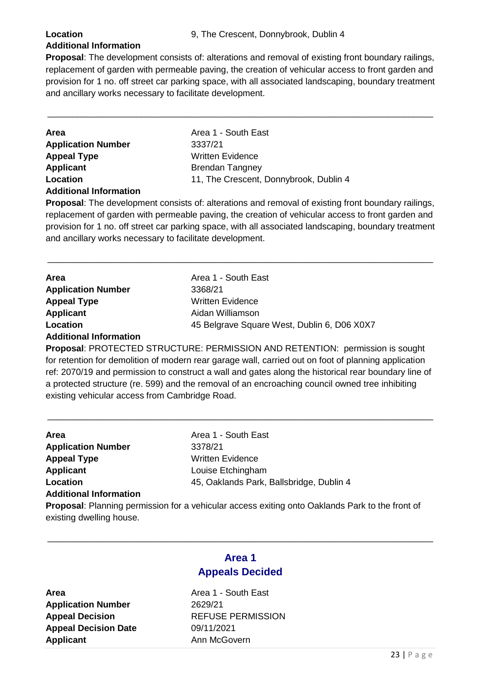### **Additional Information**

**Proposal**: The development consists of: alterations and removal of existing front boundary railings, replacement of garden with permeable paving, the creation of vehicular access to front garden and provision for 1 no. off street car parking space, with all associated landscaping, boundary treatment and ancillary works necessary to facilitate development.

\_\_\_\_\_\_\_\_\_\_\_\_\_\_\_\_\_\_\_\_\_\_\_\_\_\_\_\_\_\_\_\_\_\_\_\_\_\_\_\_\_\_\_\_\_\_\_\_\_\_\_\_\_\_\_\_\_\_\_\_\_\_\_\_\_\_\_\_\_\_\_\_\_\_\_\_\_\_

| Area                          |  |
|-------------------------------|--|
| <b>Application Number</b>     |  |
| <b>Appeal Type</b>            |  |
| <b>Applicant</b>              |  |
| Location                      |  |
| <b>Additional Information</b> |  |

**Area** Area 1 - South East **Application Number** 3337/21 **Written Evidence Brendan Tangney** 11, The Crescent, Donnybrook, Dublin 4

**Proposal**: The development consists of: alterations and removal of existing front boundary railings, replacement of garden with permeable paving, the creation of vehicular access to front garden and provision for 1 no. off street car parking space, with all associated landscaping, boundary treatment and ancillary works necessary to facilitate development.

\_\_\_\_\_\_\_\_\_\_\_\_\_\_\_\_\_\_\_\_\_\_\_\_\_\_\_\_\_\_\_\_\_\_\_\_\_\_\_\_\_\_\_\_\_\_\_\_\_\_\_\_\_\_\_\_\_\_\_\_\_\_\_\_\_\_\_\_\_\_\_\_\_\_\_\_\_\_

| Area                          | Area 1 - South East                         |
|-------------------------------|---------------------------------------------|
| <b>Application Number</b>     | 3368/21                                     |
| <b>Appeal Type</b>            | Written Evidence                            |
| <b>Applicant</b>              | Aidan Williamson                            |
| Location                      | 45 Belgrave Square West, Dublin 6, D06 X0X7 |
| <b>Additional Information</b> |                                             |

**Proposal**: PROTECTED STRUCTURE: PERMISSION AND RETENTION: permission is sought for retention for demolition of modern rear garage wall, carried out on foot of planning application ref: 2070/19 and permission to construct a wall and gates along the historical rear boundary line of a protected structure (re. 599) and the removal of an encroaching council owned tree inhibiting existing vehicular access from Cambridge Road.

\_\_\_\_\_\_\_\_\_\_\_\_\_\_\_\_\_\_\_\_\_\_\_\_\_\_\_\_\_\_\_\_\_\_\_\_\_\_\_\_\_\_\_\_\_\_\_\_\_\_\_\_\_\_\_\_\_\_\_\_\_\_\_\_\_\_\_\_\_\_\_\_\_\_\_\_\_\_

| Area                          | Area 1 - South East                      |
|-------------------------------|------------------------------------------|
| <b>Application Number</b>     | 3378/21                                  |
| <b>Appeal Type</b>            | <b>Written Evidence</b>                  |
| <b>Applicant</b>              | Louise Etchingham                        |
| Location                      | 45, Oaklands Park, Ballsbridge, Dublin 4 |
| <b>Additional Information</b> |                                          |

**Proposal**: Planning permission for a vehicular access exiting onto Oaklands Park to the front of existing dwelling house.

## **Area 1 Appeals Decided**

\_\_\_\_\_\_\_\_\_\_\_\_\_\_\_\_\_\_\_\_\_\_\_\_\_\_\_\_\_\_\_\_\_\_\_\_\_\_\_\_\_\_\_\_\_\_\_\_\_\_\_\_\_\_\_\_\_\_\_\_\_\_\_\_\_\_\_\_\_\_\_\_\_\_\_\_\_\_

**Application Number** 2629/21 **Appeal Decision Date** 09/11/2021 **Applicant** Ann McGovern

**Area Area 1 - South East Appeal Decision** REFUSE PERMISSION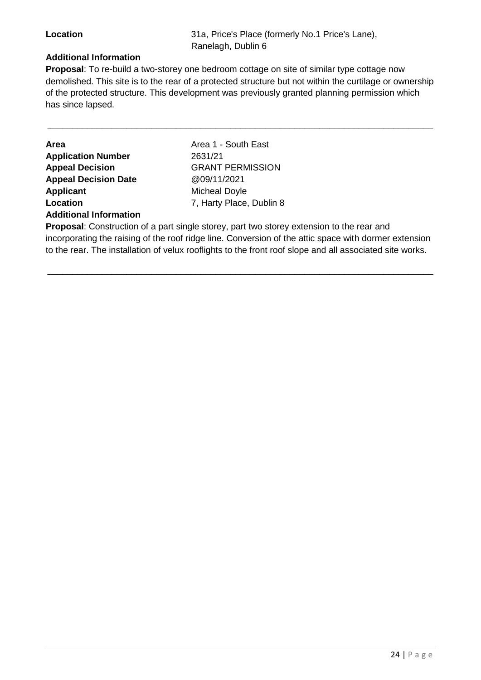**Location** 31a, Price's Place (formerly No.1 Price's Lane), Ranelagh, Dublin 6

#### **Additional Information**

**Proposal**: To re-build a two-storey one bedroom cottage on site of similar type cottage now demolished. This site is to the rear of a protected structure but not within the curtilage or ownership of the protected structure. This development was previously granted planning permission which has since lapsed.

\_\_\_\_\_\_\_\_\_\_\_\_\_\_\_\_\_\_\_\_\_\_\_\_\_\_\_\_\_\_\_\_\_\_\_\_\_\_\_\_\_\_\_\_\_\_\_\_\_\_\_\_\_\_\_\_\_\_\_\_\_\_\_\_\_\_\_\_\_\_\_\_\_\_\_\_\_\_

| Area                          |
|-------------------------------|
| <b>Application Number</b>     |
| <b>Appeal Decision</b>        |
| <b>Appeal Decision Date</b>   |
| <b>Applicant</b>              |
| Location                      |
| <b>Additional Information</b> |

**Area** Area 1 - South East **Application Number** 2631/21 **Appeal Decision** GRANT PERMISSION **Appeal Decision Date** @09/11/2021 **Micheal Doyle Location** 7, Harty Place, Dublin 8

**Proposal**: Construction of a part single storey, part two storey extension to the rear and incorporating the raising of the roof ridge line. Conversion of the attic space with dormer extension to the rear. The installation of velux rooflights to the front roof slope and all associated site works.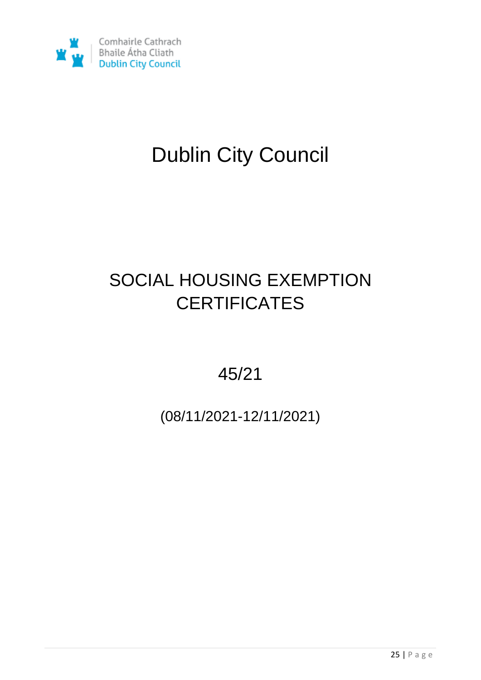

# Dublin City Council

# SOCIAL HOUSING EXEMPTION **CERTIFICATES**

45/21

(08/11/2021-12/11/2021)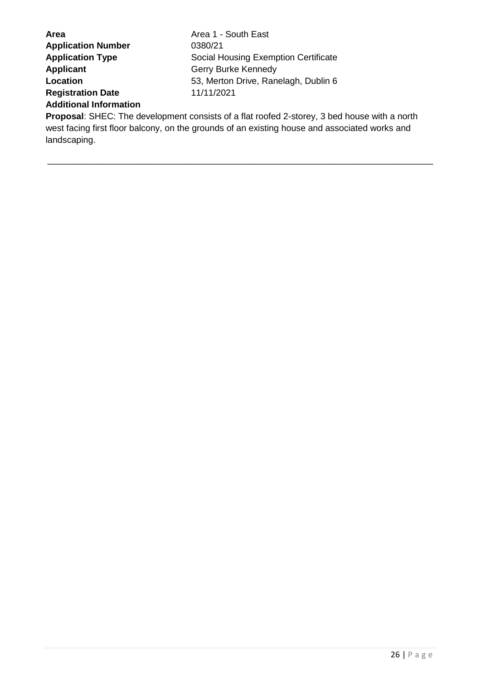| <b>Area</b>                   | Area 1 - South East                                                                         |
|-------------------------------|---------------------------------------------------------------------------------------------|
| <b>Application Number</b>     | 0380/21                                                                                     |
| <b>Application Type</b>       | Social Housing Exemption Certificate                                                        |
| <b>Applicant</b>              | Gerry Burke Kennedy                                                                         |
| Location                      | 53, Merton Drive, Ranelagh, Dublin 6                                                        |
| <b>Registration Date</b>      | 11/11/2021                                                                                  |
| <b>Additional Information</b> |                                                                                             |
|                               | <b>Proposal:</b> SHEC: The development consists of a flat roofed 2-storey, 3 bed house with |

**Proposal**: SHEC: The development consists of a flat roofed 2-storey, 3 bed house with a north west facing first floor balcony, on the grounds of an existing house and associated works and landscaping.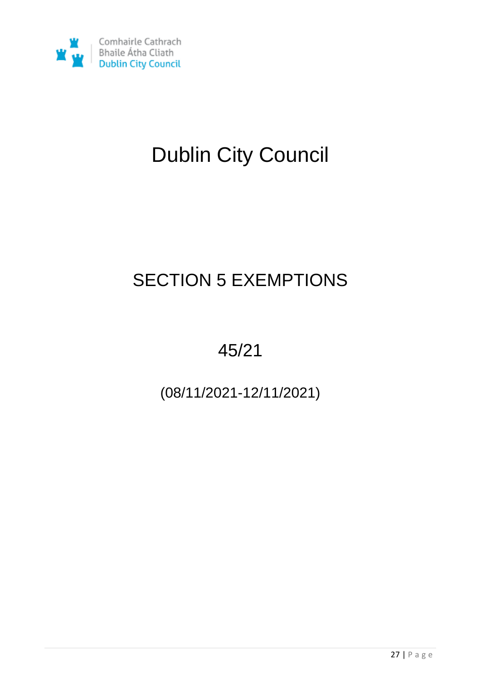

# Dublin City Council

# SECTION 5 EXEMPTIONS

# 45/21

(08/11/2021-12/11/2021)